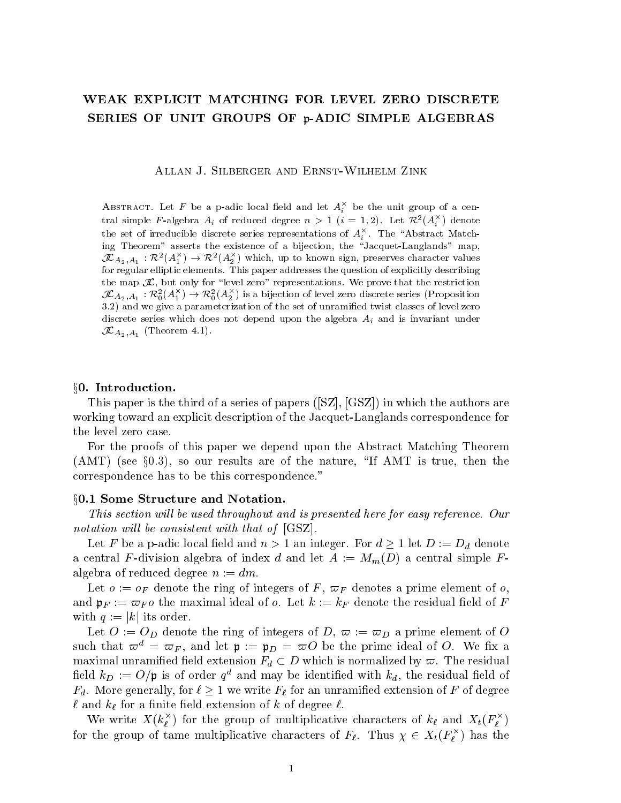# WEAK EXPLICIT MATCHING FOR LEVEL ZERO DISCRETE SERIES OF UNIT GROUPS OF p-ADIC SIMPLE ALGEBRAS

Allan J. Silberger and Ernst-Wilhelm Zink

ABSTRACT. Let F be a p-adic local field and let  $A_i^{\leftrightarrow}$  be the unit group of a central simple F-algebra  $A_i$  of reduced degree  $n > 1$  ( $i=1,2$ ). Let  $\mathcal{K}^*(A_i)$  denote the set of irreducible discrete series representations of  $A_i^{\pm}$  . The "Abstract Matching Theorem" asserts the existence of a bijection, the \Jacquet-Langlands" map,  $J\mathcal{L} A_2, A_1: \mathcal{K}(\mathcal{A}_1) \to \mathcal{K}(\mathcal{A}_2)$  which, up to known sign, preserves character values for regular elliptic elements. This paper addresses the question of explicitly describing the map  $\mathcal{J}\mathcal{L}$ , but only for "level zero" representations. We prove that the restriction  $\mathcal{JL}_{A_2,A_1}:\mathcal{K}_0^*(A_1^\wedge)\to\mathcal{K}_0^*(A_2^\wedge)$  is a bijection of level zero discrete series (Proposition 3.2) and we give a parameterization of the set of unramied twist classes of level zero discrete series which does not depend upon the algebra  $A_i$  and is invariant under  $\mathcal{JL}_{A_2,A_1}$  (Theorem 4.1).

#### x0. Introduction.

This paper is the third of a series of papers ([SZ], [GSZ]) in which the authors are working toward an explicit description of the Jacquet-Langlands correspondence for the level zero case.

For the proofs of this paper we depend upon the Abstract Matching Theorem  $(AMT)$  (see  $\S 0.3$ ), so our results are of the nature, "If AMT is true, then the correspondence has to be this correspondence."

# §0.1 Some Structure and Notation.

This section will be used throughout and is presented here for easy reference. Our notation will be consistent with that of  $[GSZ]$ .

Let F be a p-adic local field and  $n > 1$  an integer. For  $d \geq 1$  let  $D := D_d$  denote a central F-division algebra of index d and let  $A := M_m(D)$  a central simple Falgebra of reduced degree  $n := dm$ .

Let  $o := o_F$  denote the ring of integers of F,  $\varpi_F$  denotes a prime element of o and  $\mathfrak{p}_F := \varpi_F o$  the maximal ideal of o. Let  $k := k_F$  denote the residual field of F with  $q := |k|$  its order.

Let  $O := O_D$  denote the ring of integers of D,  $\varpi := \varpi_D$  a prime element of O such that  $\varpi^d = \varpi_F$ , and let  $\mathfrak{p} := \mathfrak{p}_D = \varpi O$  be the prime ideal of O. We fix a maximal unramified field extension  $F_d \subset D$  which is normalized by  $\varpi$ . The residual Held  $\kappa_D := \overline{O}/\overline{p}$  is of order  $q$  -and may be identified with  $\kappa_d$ , the residual field of  $F_d$ . More generally, for  $\ell \geq 1$  we write  $F_{\ell}$  for an unramified extension of F of degree  $\ell$  and  $k_{\ell}$  for a finite field extension of k of degree  $\ell$ .

We write  $X(k_{\ell}^{\vee})$  for the group of multiplicative characters of  $k_{\ell}$  and  $X_t(F_{\ell}^{\vee})$ for the group of tame multiplicative characters of  $F_\ell$ . Thus  $\chi \in X_t(F_\ell^-)$  has the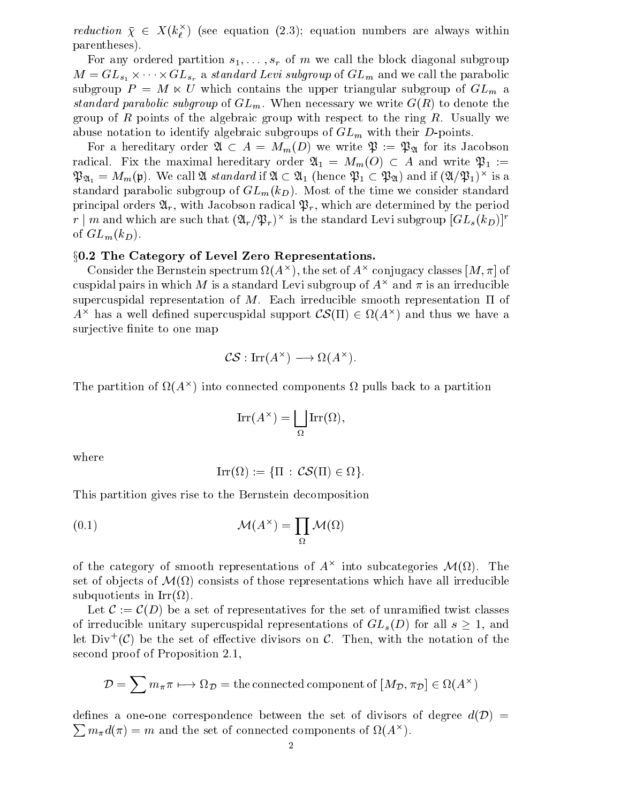reduction  $\chi \in X(k_{\ell}^{\epsilon})$  (see equation (2.3); equation numbers are always within parentheses).

rentheses).<br>For any ordered partition  $s_1, \ldots, s_r$  of m we call the block diagonal subgroup  $M = GL_{s_1} \times \cdots \times GL_{s_r}$  a standard Levi subgroup of  $GL_m$  and we call the parabolic subgroup  $P = M \ltimes U$  which contains the upper triangular subgroup of  $GL_m$  a standard parabolic subgroup of  $GL_m$ . When necessary we write  $G(R)$  to denote the group of R points of the algebraic group with respect to the ring  $R$ . Usually we abuse notation to identify algebraic subgroups of  $GL_m$  with their D-points.

For a hereditary order  $\mathfrak{A} \subset A = M_m(D)$  we write  $\mathfrak{P} := \mathfrak{P}_{\mathfrak{A}}$  for its Jacobson radical. Fix the maximal hereditary order  $\alpha_1 = M_m(O) \subset A$  and write  $\varphi_1 :=$  $\mathfrak{Pa}_1 = M_m(\mathfrak{p})$ . We call  $\mathfrak{A}$  standard if  $\mathfrak{A} \subset \mathfrak{A}_1$  (hence  $\mathfrak{P}_1 \subset \mathfrak{P}_2$ ) and if  $(\mathfrak{A}/\mathfrak{P}_1)^+$  is a standard parabolic subgroup of  $GL_m(k_D)$ . Most of the time we consider standard principal orders  $\mathfrak{A}_r$ , with Jacobson radical  $\mathfrak{P}_r$ , which are determined by the period  $r$  |  $m$  and which are such that  $(\mathcal{A}_r/\mathcal{P}_r)$  is the standard Levi subgroup  $[\mathbf{GL}_s(\kappa_D)]^{\top}$ of  $GL_m(k_D)$ .

# §0.2 The Category of Level Zero Representations.

Consider the Defitstein spectrum  $\Omega(A^+)$ , the set of  $A^+$  conjugacy classes  $[M,\pi]$  of cuspidal pairs in which  $M$  is a standard Levi subgroup of  $A^\smallfrown$  and  $\pi$  is an irreducible supercuspidal representation of M. Each irreducible smooth representation  $\Pi$  of  $A^{\smallfrown}$  has a well defined supercuspidal support  $\mathcal{C}\mathcal{S}(11)\in\Omega(A^{\smallfrown})$  and thus we have a surjective finite to one map

$$
\mathcal{CS}: \operatorname{Irr}(A^{\times}) \longrightarrow \Omega(A^{\times}).
$$

The partition of  $\Omega(A^+)$  into connected components  $\Omega$  pulls back to a partition

$$
\operatorname{Irr}(A^\times) = \bigsqcup_{\Omega} \operatorname{Irr}(\Omega),
$$

where

$$
Irr(\Omega) := \{ \Pi \, : \, \mathcal{CS}(\Pi) \in \Omega \}.
$$

This partition gives rise to the Bernstein decomposition

(0.1) 
$$
\mathcal{M}(A^{\times}) = \prod_{\Omega} \mathcal{M}(\Omega)
$$

of the category of smooth representations of  $A^\smallfrown$  into subcategories  $\mathcal{M}(\Omega)$ . The set of objects of  $\mathcal{M}(M)$  consists of those representations which have all irreducible substitution in Irritation in Irritation in Irritation in Irritation in Irritation in Irritation in Irritation

Let  $\mathcal{C} := \mathcal{C}(D)$  be a set of representatives for the set of unramified twist classes of irreducible unitary supercuspidal representations of  $GL_s(D)$  for all  $s > 1$ , and let  $D W^+(C)$  be the set of effective divisors on  $C$ . Then, with the notation of the  $\blacksquare$ second proof of Proposition 2.1,

$$
\mathcal{D} = \sum m_{\pi} \pi \longmapsto \Omega_{\mathcal{D}} = \text{the connected component of } [M_{\mathcal{D}}, \pi_{\mathcal{D}}] \in \Omega(A^{\times})
$$

defines a one-one correspondence between the set of divisors of degree  $a(\nu) =$ <u>Provide the second contract of the second contract of the second contract of the second contract of the second contract of the second contract of the second contract of the second contract of the second contract of the se</u>  $m_{\pi}a(x) = m$  and the set of connected components of  $\Omega(A^{\times}).$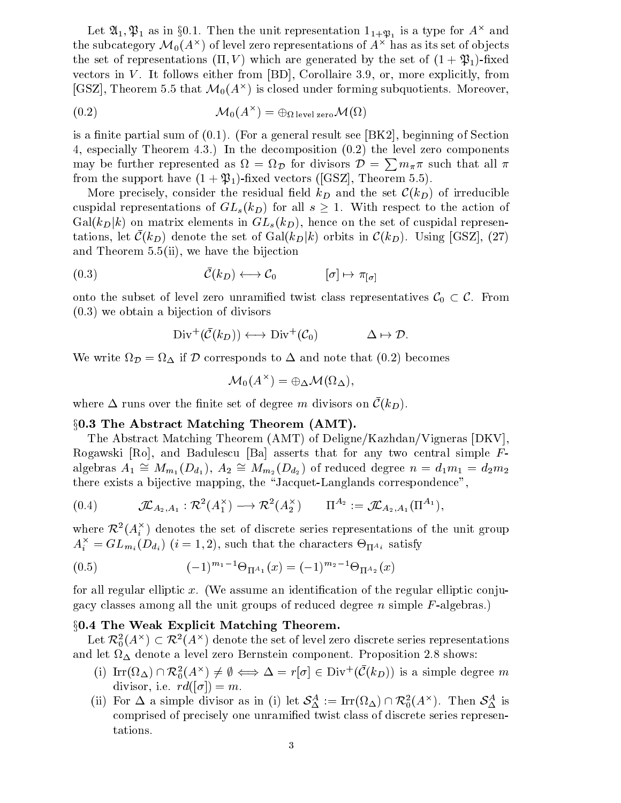Let  $\alpha_1, \gamma_1$  as in go.1. Then the unit representation  $1_{1+\mathfrak{P}_1}$  is a type for  $A^\smallfrown$  and the subcategory  $\mathcal{M}_0(A^\times)$  of level zero representations of  $A^\times$  has as its set of objects the set of representations  $(\Pi, V)$  which are generated by the set of  $(1 + \mathfrak{P}_1)$ -fixed vectors in  $V$ . It follows either from  $[BD]$ , Corollaire 3.9, or, more explicitly, from  $[GSL]$ , Theorem 5.5 that  $\mathcal{M}_0(A^\smallfrown)$  is closed under forming subquotients. Moreover,

(0.2) 
$$
\mathcal{M}_0(A^\times) = \bigoplus_{\Omega \text{ level zero}} \mathcal{M}(\Omega)
$$

is a finite partial sum of  $(0.1)$ . (For a general result see [BK2], beginning of Section 4, especially Theorem 4.3.) In the decomposition (0.2) the level zero components may be further represented as  $\Omega = \Omega_{\mathcal{D}}$  for divisors  $\mathcal{D} = \sum m_{\pi} \pi$  such that all  $\pi$ from the support have  $(1 + \mathfrak{P}_1)$ -fixed vectors ([GSZ], Theorem 5.5).

More precisely, consider the residual field  $k_D$  and the set  $\mathcal{C}(k_D)$  of irreducible cuspidal representations of  $GL_s(k_D)$  for all  $s \geq 1$ . With respect to the action of  $Gal(k_D|k)$  on matrix elements in  $GL_s(k_D)$ , hence on the set of cuspidal representations, let  $\mathcal{C}(k_D)$  denote the set of  $Gal(k_D|k)$  orbits in  $\mathcal{C}(k_D)$ . Using [GSZ], (27) and Theorem 5.5(ii), we have the bijections the bijection and Theorem 5.5(ii), we have the bijection<br>  $(0.3)$   $\bar{\mathcal{C}}(k_D) \longleftrightarrow \mathcal{C}_0$   $[\sigma] \mapsto \pi_{[\sigma]}$ 

$$
(0.3) \qquad \qquad \bar{\mathcal{C}}(k_D) \longleftrightarrow \mathcal{C}_0 \qquad \qquad [\sigma] \mapsto \pi_{[\sigma]}
$$

onto the subset of level zero unramined twist class representatives  $C_0 \subset C$ . From<br>  $(0.3)$  we obtain a bijection of divisors<br>  $Div^+(\bar{C}(k_D)) \longleftrightarrow Div^+(\mathcal{C}_0)$   $\Delta \mapsto \mathcal{D}$ . (0.3) we obtain a bijection of divisors

$$
\operatorname{Div}^+(\bar{\mathcal{C}}(k_D)) \longleftrightarrow \operatorname{Div}^+(\mathcal{C}_0) \qquad \Delta \mapsto \mathcal{D}.
$$

We write  $\Omega_{\mathcal{D}} = \Omega_{\Delta}$  if D corresponds to  $\Delta$  and note that  $(0.2)$  becomes

$$
\mathcal{M}_0(A^\times) = \oplus_\Delta \mathcal{M}(\Omega_\Delta),
$$

where  $\Delta$  runs over the finite set of degree m divisors on  $C(\kappa_D)$ .

# $\S 0.3$  The Abstract Matching Theorem  $(AMT)$ .

The Abstract Matching Theorem (AMT) of Deligne/Kazhdan/Vigneras [DKV], Rogawski [Ro], and Badulescu [Ba] asserts that for any two central simple  $F$ algebras  $A_1\cong M_{m_1}(D_{d_1}),\,A_2\cong M_{m_2}(D_{d_2})$  of reduced degree  $n=d_1m_1=d_2m_2$ there exists a bijective mapping, the \Jacquet-Langlands correspondence",  $\lim_{2 \to \infty}$  the "Jacquet-Lar"<br>  $\lim_{2 \to \infty}$   $\lim_{2 \to \infty}$   $\lim_{2 \to \infty}$   $\lim_{2 \to \infty}$ 

$$
(0.4) \qquad \mathcal{I\!L}_{A_2,A_1}: \mathcal{R}^2(A_1^{\times}) \longrightarrow \mathcal{R}^2(A_2^{\times}) \qquad \Pi^{A_2} := \mathcal{I\!L}_{A_2,A_1}(\Pi^{A_1}),
$$

where  $\mathcal{K}^*(A_i^+)$  denotes the set of discrete series representations of the unit group  $A_i^{\pm} \equiv G L_{m_i}(D_{d_i})$  (i = 1, 2), such that the characters  $\Theta_{\Pi^{A_i}}$  satisfy

(0.5) 
$$
(-1)^{m_1-1}\Theta_{\Pi^{A_1}}(x) = (-1)^{m_2-1}\Theta_{\Pi^{A_2}}(x)
$$

for all regular elliptic  $x$ . (We assume an identification of the regular elliptic conjugacy classes among all the unit groups of reduced degree n simple  $F$ -algebras.)

# x0.4 The Weak Explicit Matching Theorem.  $\begin{aligned} \textbf{eak} \textbf{Explicit} \textbf{Mat} \ \textbf{Explicit} \textbf{Mat} \ \textbf{C} \mathcal{R}^2 (A^\times) \textbf{denote} \end{aligned}$

Let  $\kappa_{0}^{-}(A^{\,\cdot\,})\subset\kappa^{-}(A^{\,\cdot\,})$  denote the set of level zero discrete series representations and let denote <sup>a</sup> level zero Bernstein component. Proposition 2.8 shows: et  $\mathcal{R}_0^*(A^*) \subset \mathcal{R}^2(A^*)$  denote the set of level zero discrete series representations<br>let  $\Omega_{\Delta}$  denote a level zero Bernstein component. Proposition 2.8 shows:<br>(i)  $\text{Irr}(\Omega_{\Delta}) \cap \mathcal{R}_0^2(A^*) \neq \emptyset \iff \Delta = r[\sigma] \in \text{Div$ 

- divisor, i.e.  $rd([\sigma]) = m$ . (i)  $\text{Irr}(\Omega_{\Delta}) \cap \mathcal{R}_0^2(A^{\times}) \neq \emptyset \iff \Delta = r[\sigma] \in \text{Div}^+(\mathcal{C}(k_D))$  is a simple degree *m* divisor, i.e.  $rd([\sigma]) = m$ .<br>(ii) For  $\Delta$  a simple divisor as in (i) let  $\mathcal{S}_{\Delta}^A := \text{Irr}(\Omega_{\Delta}) \cap \mathcal{R}_0^2(A^{\times})$ . Then  $\mathcal{S}_{\Delta}^A$
- comprised of precisely one unramied twist class of discrete series representations.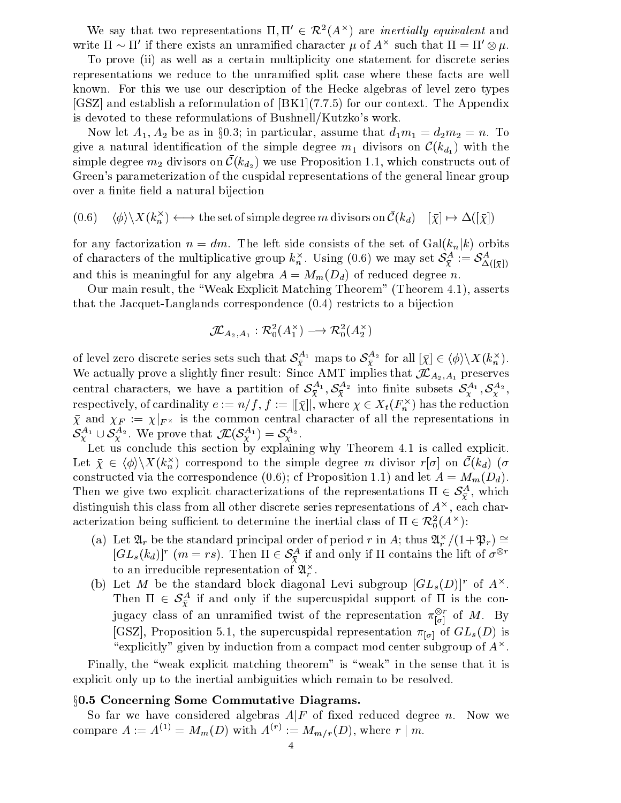We say that two representations  $\Pi, \Pi \in \mathcal{K}^1(A^{\wedge})$  are *inertially equivalent* and write 11  $\sim$  11  $\,$  if there exists an unramined character  $\mu$  of A $^{\circ}$  such that  $\pi =$  11  $\otimes \mu$ .

To prove (ii) as well as a certain multiplicity one statement for discrete series representations we reduce to the unramied split case where these facts are well known. For this we use our description of the Hecke algebras of level zero types [GSZ] and establish a reformulation of [BK1](7.7.5) for our context. The Appendix is devoted to these reformulations of Bushnell/Kutzko's work.

Now let  $A_1, A_2$  be as in g0.3; in particular, assume that  $a_1m_1=a_2m_2=n$ . To give a natural identification of the simple degree  $m_1$  divisors on  $\mathcal{C}(\kappa_{d_1})$  with the simple degree  $m_2$  divisors on  $C(\kappa_{d_2})$  we use Proposition 1.1, which constructs out of Green's parameterization of the cuspidal representations of the general linear group over a finite field a natural bijection

$$
(0.6) \quad \langle \phi \rangle \backslash X(k_n^{\times}) \longleftrightarrow
$$
 the set of simple degree *m* divisors on  $\bar{\mathcal{C}}(k_d)$   $[\bar{\chi}] \mapsto \Delta([\bar{\chi}])$ 

for any factorization  $n = dm$ . The left side consists of the set of  $Gal(k_n|k)$  orbits of characters of the multiplicative group  $\kappa_n$ . Using (0.6) we may set  $\sigma_{\bar\chi}^-:=\sigma_{\Delta([\bar\chi])}^$ and this is meaningful for any algebra  $A = M_m(D_d)$  of reduced degree n.

Our main result, the \Weak Explicit Matching Theorem" (Theorem 4.1), asserts that the Jacquet-Langlands correspondence (0.4) restricts to a bijection e  $(0.4)$  restricts to a<br>  $) \longrightarrow \mathcal{R}_0^2(A_2^{\times})$ 

$$
\mathcal{J\!L}_{A_2,A_1}: \mathcal{R}_0^2(A_1^\times) \longrightarrow \mathcal{R}_0^2(A_2^\times)
$$

 $\mathcal{I}\!\!\mathcal{L}_{A_2,A_1}: \mathcal{R}_0^2(A_1^{\times}) \longrightarrow \mathcal{R}_0^2(A_2^{\times})$ <br>of level zero discrete series sets such that  $\mathcal{S}_{\bar{\mathbf{x}}}^{A_1}$  maps to  $\mathcal{S}_{\bar{\mathbf{x}}}^{A_2}$  for all  $[\bar{\chi}] \in \langle \phi \rangle \backslash X(k_n^{\times}).$ We actually prove a slightly finer result: Since AMT implies that  $\mathcal{I}\!\!\mathcal{L}_{A_2,A_1}$  preserves central characters, we have a partition of  $\bm{\delta}_{\bar{\chi}}$   $\cdot$  ,  $\bm{\delta}_{\bar{\chi}}$   $\cdot$  muo finite subsets  $\bm{\delta}_{\chi}^{\star\tau}$  ,  $\bm{\delta}_{\chi}^{\star\tau}$  , respectively, of cardinality  $e := n / f$  ,  $f := |[ \chi ] |$  , where  $\chi \in \Lambda_t({F}_{\hat n}^{\times})$  has the reduction  $\chi$  and  $\chi_F \ := \ \chi_{\vert F^{\times}}$  is the common central character of all the representations in  $\mathcal{S}_{\chi}^{A_1} \cup \mathcal{S}_{\chi}^{A_2}$ . We prove that  $\mathcal{J\!L}(\mathcal{S}_{\chi}^{A_1}) = \mathcal{S}_{\chi}^{A_2}$ . espectively, of cardinality  $e := n/f$ ,  $f := |[\bar{\chi}]|$ , where and  $\chi_F := \chi|_{F^\times}$  is the common central charact  $\chi^A$ <sup>1</sup>  $\cup$   $S^A$ <sup>2</sup>. We prove that  $\mathcal{IL}(S^{A_1}_{\lambda}) = S^{A_2}_{\lambda}$ .

Let us conclude this section by explaining why Theorem 4.1 is called explicit. Let  $\chi \in \langle \varphi \rangle \backslash \Lambda(\mathcal{K}_n)$  correspond to the simple degree m divisor  $r[\sigma]$  on  $\mathcal{C}(\mathcal{K}_d)$  ( $\sigma$ constructed via the correspondence (0.6); cf Proposition 1.1) and let  $A = M_m(D_d)$ . Then we give two explicit characterizations of the representations  $\Pi \in \mathcal{S}_{\bar{Y}}$ , which distinguish this class from all other discrete series representations of  $A^\smallfrown$  , each char-Then we give two explicit characterizations of the representations  $\Pi \in S^A_{\overline{\chi}}$ , which distinguish this class from all other discrete series representations of  $A^{\times}$ , each cha acterization being sufficient to determ  $\bar{0}(A^{\frown})$ :

- (a) Let  $\mathfrak{A}_r$  be the standard principal order of period r in A; thus  $\mathfrak{A}_r^{\times}/(1+\mathfrak{P}_r) \cong$ tion being sufficient to determine the inertial class of  $\Pi \in \mathcal{R}_0^*(A^\wedge)$ :<br>Let  $\mathfrak{A}_r$  be the standard principal order of period  $r$  in  $A$ ; thus  $\mathfrak{A}_r^\times/(1+\mathfrak{P}_r) \cong [GL_s(k_d)]^r$   $(m=rs)$ . Then  $\Pi \in \mathcal{S}_{\bar{\mathbf{Y}}}^$ to an irreducible representation of  $\mathcal{U}_r$  .
- (b) Let M be the standard block diagonal Levi subgroup  $[GL_s(D)]^r$  of  $A^{\times}$ . Then  $\Pi \in \mathcal{S}_{\tilde{Y}}^{\mathcal{Z}}$  if and only if the supercuspidal support of  $\Pi$  is the conjugacy class of an unramined twist of the representation  $\pi_{\left[\sigma\right]}^-$  of  $M$ . By [GSZ], Proposition 5.1, the supercuspidal representation  $\pi_{[\sigma]}$  of  $GL_s(D)$  is "explicitly" given by induction from a compact mod center subgroup of  $A^{\times}$ .

Finally, the "weak explicit matching theorem" is "weak" in the sense that it is explicit only up to the inertial ambiguities which remain to be resolved.

# x0.5 Concerning Some Commutative Diagrams.

So far we have considered algebras  $A|F$  of fixed reduced degree n. Now we compare  $A := A^{(1)} = M_m(D)$  with  $A^{(1)} := M_m/r(D)$ , where  $r \mid m$ .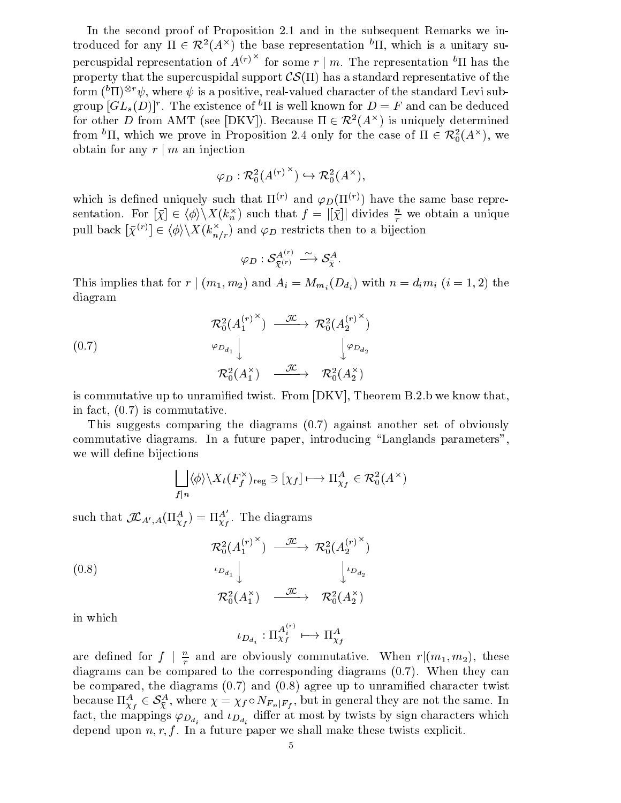In the second proof of Proposition 2.1 and in the subsequent Remarks we introduced for any  $\Pi \in \mathcal{K}^+(A^\smallfrown)$  the base representation "II, which is a unitary supercuspidal representation of  $A^{(r)}$  for some  $r \mid m$ . The representation <sup>o</sup>II has the property that the supercuspidal support  $\mathcal{CS}(\Pi)$  has a standard representative of the form (  $\lceil 11 \rceil$  )  $\ll w$  , where  $\psi$  is a positive, real-valued character of the standard Levi subgroup  $|GL_s(D)|$  . The existence of the swell known for  $D \equiv r$  and can be deduced form  $({}^b\Pi)^{\otimes r}\psi$ , where  $\psi$  is a positive, real-valued character of the st<br>group  $[GL_s(D)]^r$ . The existence of  ${}^b\Pi$  is well known for  $D = F$  and<br>for other D from AMT (see [DKV]). Because  $\Pi \in \mathcal{R}^2(A^\times)$  is unic  $(A^{\sim})$  is uniquely determined from  $\cdot$  11, which we prove in Proposition 2.4 only for the case of  $\Pi \in \mathcal{K}_0^1(A^\wedge)$ , we obtain for any  $r | m$  an injection  $\rightarrow \mathcal{R}_0^2(A^\times).$ 

$$
\varphi_D : \mathcal{R}_0^2({A^{(r)}}^\times) \hookrightarrow \mathcal{R}_0^2({A^\times}),
$$

which is defined uniquely such that  $\Pi^{(r)}$  and  $\varphi_D(\Pi^{(r)})$  have the same base representation. For  $[\chi] \in \langle \varphi \rangle \backslash \Lambda(\kappa_n)$  such that  $f = |[\chi]|$  divides  $\frac{n}{r}$  we obtain a unique pull back  $[\bar{\chi}^{(r)}] \in \langle \phi \rangle \backslash X(k_{n/r}^{\times})$  and  $\varphi_D$  restricts then to a bijection<br> $\varphi_D : \mathcal{S}_{\bar{\chi}^{(r)}}^{A^{(r)}} \xrightarrow{\sim} \mathcal{S}_{\bar{\chi}}^A.$ ed uniquely such t<br>  $[\bar{x}] \in \langle \phi \rangle \backslash X(k_n^{\times})$ <br>  $] \in \langle \phi \rangle \backslash X(k^{\times}{}_{\cdot})$  and

$$
\varphi_D: \mathcal{S}^{A^{(r)}}_{\bar\chi^{(r)}} \stackrel{\sim}{\longrightarrow} \mathcal{S}^A_{\bar\chi}.
$$

This implies that for  $r \mid (m_1, m_2)$  and  $A_i = M_{m_i}(D_{d_i})$  with  $n = d_i m_i$   $(i = 1, 2)$  the diagram

(0.7)  
\n
$$
\begin{array}{c}\n\mathcal{R}_0^2 (A_1^{(r)} \times) \xrightarrow{\mathcal{J\!L}} \mathcal{R}_0^2 (A_2^{(r)} \times) \\
\downarrow^{\varphi_{D_{d_1}}} \downarrow^{\varphi_{D_{d_2}}} \\
\mathcal{R}_0^2 (A_1^{\times}) \xrightarrow{\mathcal{J\!L}} \mathcal{R}_0^2 (A_2^{\times})\n\end{array}
$$

is commutative up to unramified twist. From  $[DKV]$ , Theorem B.2.b we know that, in fact, (0.7) is commutative.

This suggests comparing the diagrams (0.7) against another set of obviously commutative diagrams. In a future paper, introducing "Langlands parameters", we will define bijections  $\begin{aligned} \mathcal{A} & \rightarrow \mathcal{R}_0^2(A^\times) \ & \chi_f \in \mathcal{R}_0^2(A^\times) \end{aligned}$ 

$$
\bigsqcup_{f|n} \langle \phi \rangle \backslash X_t(F_f^\times)_{\text{reg}} \ni [\chi_f] \longmapsto \Pi_{\chi_f}^A \in \mathcal{R}_0^2(A^\times)
$$

such that  $\mathcal{I\!L}_{A',A}(\Pi^A_{\chi_f})=\Pi^A_{\chi_f}$ . The diagrams

(0.8)  
\n
$$
\begin{array}{c}\n\mathcal{R}_0^2 (A_1^{(r)} \times) \xrightarrow{\mathcal{J\!L}} \mathcal{R}_0^2 (A_2^{(r)} \times) \\
\downarrow^{\iota_{D_{d_1}}} \downarrow \qquad \qquad \downarrow^{\iota_{D_{d_2}}} \\
\mathcal{R}_0^2 (A_1^{\times}) \xrightarrow{\mathcal{J\!L}} \mathcal{R}_0^2 (A_2^{\times})\n\end{array}
$$

in which

$$
\iota_{D_{d_i}} : \Pi_{\chi_f}^{A_i^{(r)}} \longmapsto \Pi_{\chi_f}^A
$$

are defined for  $f \mid \frac{m}{r}$  and are obviously commutative. When  $r | (m_1, m_2)$ , these diagrams can be compared to the corresponding diagrams (0.7). When they can be compared, the diagrams (0.7) and (0.8) agree up to unramied character twist diagrams can be compared to the corresponding diagrams (0.7). When they can<br>be compared, the diagrams (0.7) and (0.8) agree up to unramified character twist<br>because  $\Pi_{\chi_f}^A \in S_{\overline{\chi}}^A$ , where  $\chi = \chi_f \circ N_{F_n|F_f}$ , but i fact, the mappings  $\varphi_{D_{d_i}}$  and  $\iota_{D_{d_i}}$  differ at most by twists by sign characters which depend upon  $n, r, f$ . In a future paper we shall make these twists explicit.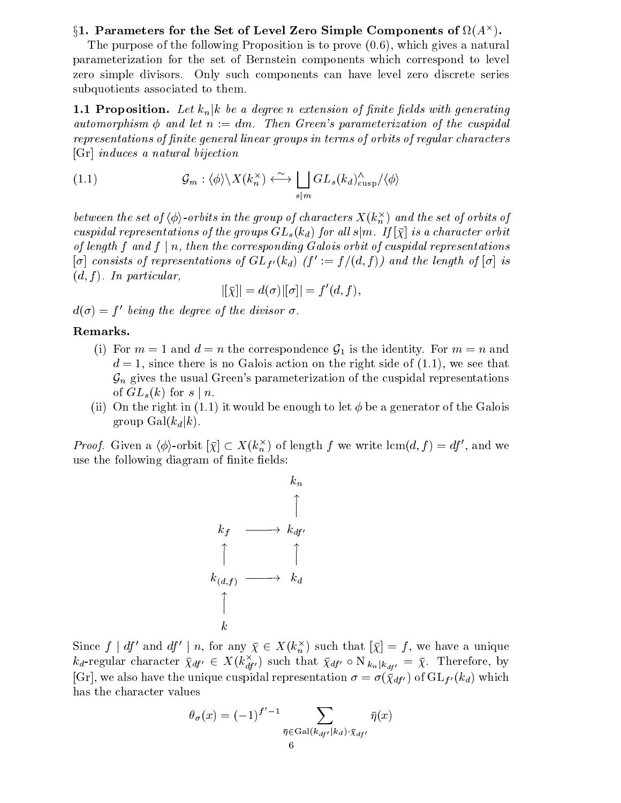# $\S$ 1. Parameters for the Set of Level Zero Simple Components of  $M(A^+)$ .

The purpose of the following Proposition is to prove (0.6), which gives a natural parameterization for the set of Bernstein components which correspond to level zero simple divisors. Only such components can have level zero discrete series subquotients associated to them.

**1.1 Proposition.** Let  $k_n | k$  be a degree n extension of finite fields with generating automorphism  $\phi$  and let  $n := dm$ . Then Green's parameterization of the cuspidal representations of finite general linear groups in terms of orbits of regular characters [Gr] induces a natural bijection

(1.1) 
$$
\mathcal{G}_m : \langle \phi \rangle \backslash X(k_n^{\times}) \longleftrightarrow \bigsqcup_{s|m} GL_s(k_d)_{\text{cusp}}^{\wedge} / \langle \phi \rangle
$$

between the set of  $\langle \phi \rangle$ -orbits in the group of characters  $\Lambda$  ( $\kappa_n^{\gamma}$  ) and the set of orbits of cuspidal representations of the groups  $GL_s(k_d)$  for all  $s|m$ . If  $[\bar{\chi}]$  is a character orbit of length f and  $f | n$ , then the corresponding Galois orbit of cuspidal representations  $[\sigma]$  consists of representations of  $GL_{f'}(k_d)$   $(f' := f/(d, f))$  and the length of  $[\sigma]$  is  $(d, f)$ . In particular,

$$
|[\bar\chi]|=d(\sigma)|[\sigma]|=f'(d,f),
$$

 $d(\sigma) = f'$  being the degree of the divisor  $\sigma$ .

# Remarks.

- (1) For  $m = 1$  and  $a = n$  the correspondence  $\mathcal{G}_1$  is the identity. For  $m = n$  and  $d = 1$ , since there is no Galois action on the right side of  $(1.1)$ , we see that  $\mathcal{G}_n$  gives the usual Green's parameterization of the cuspidal representations of  $GL_s(k)$  for  $s \mid n$ .
- (ii) On the right in  $(1.1)$  it would be enough to let  $\phi$  be a generator of the Galois group  $Gal(k_d|k)$ .

*Proof.* Given a  $\langle \varphi \rangle$ -orbit  $|\chi| \subset A \left(\kappa_n^{\vee}\right)$  of length f we write  $\text{icm}(a, f) = a f$ , and we use the following diagram of finite fields:

$$
k_{f} \longrightarrow k_{df}
$$
\n
$$
\uparrow \qquad \qquad \uparrow
$$
\n
$$
k_{(d,f)} \longrightarrow k_{d}
$$
\n
$$
\uparrow \qquad \qquad \downarrow
$$
\n
$$
k
$$

Since  $f \mid af$  and  $af \mid n$ , for any  $\chi \in A(k_n)$  such that  $|\chi| = f$ , we have a unique  $\kappa_d$ -regular character  $\chi_{df'} \in A(\kappa_{df'}')$  such that  $\chi_{df'} \circ \text{N}_{k_n | k_{df'}} = \chi$ . Therefore, by  $[G_r]$ , we also have the unique cuspidal representation  $\sigma = \sigma(\bar{\chi}_{df})$  of  $GL_{f'}(k_d)$  which has the character values

$$
\theta_{\sigma}(x) = (-1)^{f'-1} \sum_{\bar{\eta} \in \text{Gal}(k_{df'}|k_d) \cdot \bar{\chi}_{df'}} \bar{\eta}(x)
$$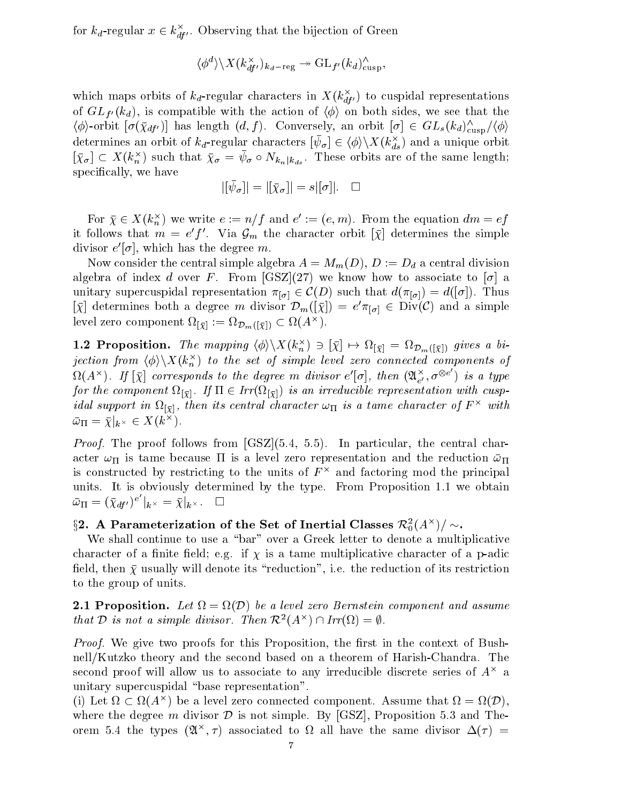for  $\kappa_d$ -regular  $x \in \kappa_{df}$ . Observing that the bijection of Green

$$
\langle \phi^d \rangle \backslash X(k_{df'}^\times)_{k_d-\text{reg}} \twoheadrightarrow \operatorname{GL}_{f'}(k_d)^\wedge_{\text{cusp}},
$$

which maps orbits of  $\kappa_d$ -regular characters in  $A\left(\kappa_{d f'}\right)$  to cuspidal representations of  $GL_{f'}(k_d)$ , is compatible with the action of  $\langle \phi \rangle$  on both sides, we see that the  $\langle \varphi \rangle$ -orbit  $[\sigma(\chi_{df'})]$  has length  $(a, f)$ . Conversely, an orbit  $[\sigma] \in GL_s(\kappa_d)_{\text{cusp}}'/\langle \varphi \rangle$ determines an orbit of  $\kappa_d$ -regular characters  $[\psi_\sigma]\in \langle \phi\rangle\backslash \Lambda\left(\kappa_{ds}^*\right)$  and a unique orbit  $\langle \phi \rangle$  on both sides,<br>ly, an orbit  $[\sigma] \in \langle \phi \rangle \setminus X(k_{ds}^{\times})$  and  $[\chi_{\sigma}] \subseteq A$  ( $\kappa_n^{\sim}$ ) such that  $\chi_{\sigma} = \psi_{\sigma} \circ N_{k_n | k_{ds}}$ . These orbits are of the same length; specically, we have

$$
|[\bar{\psi}_{\sigma}]| = |[\bar{\chi}_{\sigma}]| = s|[\sigma]|. \quad \Box
$$

For  $\chi \in A(k_n^{\infty})$  we write  $e := n/f$  and  $e^{\cdot} := (e, m)$ . From the equation  $am = ej$ it follows that  $m\,=\,e^{\cdot}\,f$  . Via  ${\cal G}_m$  the character orbit  $|\chi|$  determines the simple divisor  $e_{\perp} \sigma_{\parallel}$ , which has the degree  $m$ .

Now consider the central simple algebra  $A = M_m(D)$ ,  $D := D_d$  a central division algebra of index d over F. From  $[GSZ](27)$  we know how to associate to  $[\sigma]$  a unitary supercuspidal representation  $\pi_{[\sigma]} \in C(D)$  such that  $d(\pi_{[\sigma]}) = d([\sigma])$ . Thus  $|\chi|$  determines both a degree m divisor  $\nu_m(|\chi|) = e \pi_{[\sigma]} \in Div(C)$  and a simple level zero component  $\Omega[\bar\chi]:=\Omega{\cal D}_m([\bar\chi])\subset \Omega(A^{\times}).$ 

**1.2 Proposition.** The mapping  $\langle \varphi \rangle \langle \Lambda(\kappa_n) \rangle \ni [ \chi ] \mapsto \Omega[\bar{\chi}] = \Omega D_m([\bar{\chi}])$  gives a orjection from  $\langle \phi \rangle \backslash \Lambda \left( \kappa_n^{\cdot} \right)$  to the set of simple level zero connected components of  $\Omega(A^\times)$ . If  $[\bar\chi]$  corresponds to the degree  $m$  divisor  $e'[\sigma],$  then  $({\mathfrak A}^{\times}_{e'}, \sigma^{\otimes e}$   $)$  is a  $\boldsymbol{\eta}$  is a type type type type  $\boldsymbol{\eta}$ for the component  $\Omega_{[\bar\chi]}$ . If  $\Pi \in {\it Irr}(\Omega_{[\bar\chi]})$  is an irreducible representation with cusp $i$ aat support in  $\Omega_{\{ \bar{\chi} \}}$ , then its central character  $\omega_\Pi$  is a tame character of  $F$   $\simeq$  with  $\omega_{\Pi} = \chi_{\vert k^{\times}} \in \Lambda(\kappa^{\dots}).$ 

Proof. The proof follows from [GSZ](5.4, 5.5). In particular, the central character in it was tammed the reduction and the reduction and the reduction and the reduction and the reduction  $\mathbf{u}_1$ is constructed by restricting to the units of  $F\cap$  and factoring mod the principal units. It is obviously determined by the type. From Proposition 1.1 we obtain  $\bar{\omega}_{\Pi} = (\bar{\chi}_{df'})^e \mid_{k^\times} = \bar{\chi}\vert_{k^\times}. \quad \Box$ 

# $32.$  A Parameterization of the Set of Inertial Classes  $\mathcal{K}_{0}^{\mathsf{a}}(A^{T})/2$

We shall continue to use a "bar" over a Greek letter to denote a multiplicative character of a finite field; e.g. if  $\chi$  is a tame multiplicative character of a p-adic field, then  $\bar{\chi}$  usually will denote its "reduction", i.e. the reduction of its restriction to the group of units.

**4.1 Proposition.** Let  $\Omega = \Omega(D)$  be a level zero Bernstein component and assume that D is not a simple alwisor. Then  $\mathcal{K}^-(A^{\frown}) \cap IT(\Omega) = \emptyset$ .

*Proof.* We give two proofs for this Proposition, the first in the context of Bushnell/Kutzko theory and the second based on a theorem of Harish-Chandra. The  $\rm{second\,\,\,}$  proof will allow us to associate to any irreducible discrete series of  $\rm{A}^+$  a unitary supercuspidal "base representation".

(1) Let  $\Omega \subset \Omega(A^{\sim})$  be a level zero connected component. Assume that  $\Omega = \Omega(D)$ , where the degree m divisor  $\mathcal D$  is not simple. By [GSZ], Proposition 5.3 and Theorem  $0.4$  the types  $(\mathcal{U}^+, T)$  associated to  $\Omega$  all have the same divisor  $\Delta(T)$   $=$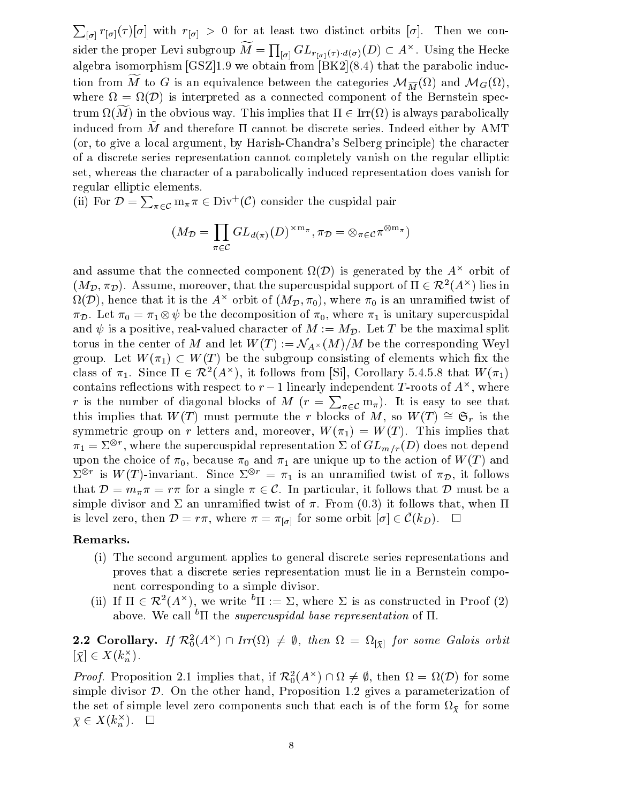<u>Product</u> the contract of the contract of the contract of the contract of the contract of the contract of the contract of the contract of the contract of the contract of the contract of the contract of the contract of the  $\vert \sigma \vert$  if the state two distinct orbits for at least two distinct orbits in the state orbits  $\vert \sigma \vert$ sider the proper Levi subgroup  $M = \prod_{[\sigma]} GL_{r_{[\sigma]}(\tau)\cdot d(\sigma)}(D) \subset A^{\times}.$  Using the Hecke algebra isomorphism  $[GSZ]1.9$  we obtain from  $[BK2](8.4)$  that the parabolic induction from M to G is an equivalence between the categories  $\mathcal{M}_{\widetilde{M}}(s\iota)$  and  $\mathcal{M}_{G}(s\iota),$ where  $\Omega = \Omega(D)$  is interpreted as a connected component of the Bernstein spec- $\liminf_{n\to\infty} \liminf_{n\to\infty} \limsup_{n\to\infty} \limsup_{n\to\infty} \limsup_{n\to\infty} \limsup_{n\to\infty} \limsup_{n\to\infty} \limsup_{n\to\infty} \limsup_{n\to\infty} \limsup_{n\to\infty} \limsup_{n\to\infty} \limsup_{n\to\infty} \limsup_{n\to\infty} \limsup_{n\to\infty} \limsup_{n\to\infty} \limsup_{n\to\infty} \limsup_{n\to\infty} \limsup_{n\to\infty} \limsup_{n\to\infty} \limsup_{n\to\infty}$ induced from  $\tilde{M}$  and therefore  $\Pi$  cannot be discrete series. Indeed either by AMT (or, to give a local argument, by Harish-Chandra's Selberg principle) the character of a discrete series representation cannot completely vanish on the regular elliptic set, whereas the character of a parabolically induced representation does vanish for regular elliptic elements.

(ii) For  $\mathcal{D} = \sum_{\pi \in \mathcal{C}} m_{\pi} \pi \in \mathrm{Div}^+(\mathcal{C})$  consider the cuspidal pair

$$
(M_{\mathcal{D}} = \prod_{\pi \in \mathcal{C}} GL_{d(\pi)}(D)^{\times m_{\pi}}, \pi_{\mathcal{D}} = \otimes_{\pi \in \mathcal{C}} \pi^{\otimes m_{\pi}})
$$

and assume that the connected component  $\Omega(D)$  is generated by the  $A^{\smallfrown}$  orbit of and assume that the connected component  $\Omega(\mathcal{D})$  is generated by the  $A^{\times}$  orbit of  $(M_{\mathcal{D}}, \pi_{\mathcal{D}})$ . Assume, moreover, that the supercuspidal support of  $\Pi \in \mathcal{R}^2(A^{\times})$  lies in  $\Omega(D),$  hence that it is the A  $^{\circ}$  orbit of (M  $_{\mathcal{D}},\pi_{0}),$  where  $\pi_{0}$  is an unramined twist of  $\pi_{\mathcal{D}}$ . Let  $\pi_0 = \pi_1 \otimes \psi$  be the decomposition of  $\pi_0$ , where  $\pi_1$  is unitary supercuspidal and  $\psi$  is a positive, real-valued character of  $M := M_{\mathcal{D}}$ . Let T be the maximal split torus in the center of M and let  $W(T) := N_{A^{\times}}(M)/M$  be the corresponding Weyl group. Let  $W(\pi_1) \subset W(T)$  be the subgroup consisting of elements which fix the class of  $\pi_1$ . Since  $\Pi \in \mathcal{K}^-(A^\cap)$ , it follows from [SI], Corollary 5.4.5.8 that W( $\pi_1$ ) contains reflections with respect to  $r-1$  imearly independent 1-roots of  $A^\smallfrown$ , where r is the number of diagonal blocks of M ( $r = \sum_{\pi \in \mathcal{C}} m_{\pi}$ ). It is easy to see that this implies that  $W(T)$  must permute the r blocks of M, so  $W(T) \cong \mathfrak{S}_r$  is the symmetric group on r letters and, moreover,  $W(\pi_1) = W(T)$ . This implies that  $\pi_1 = \vartriangle^\circ$  , where the supercuspidal representation  $\vartriangle$  of  $\operatorname{GL}_{m/r}(D)$  does not depend upon the choice of  $0$  and  $1$  and 1 are unique up to the action of W(T ) and W(T ) and W(T ) and W(T ) and W(T ) and W(T ) and W(T ) and W(T ) and W(T ) and W(T ) and W(T ) and W(T ) and W(T ) and W(T ) and W(T ) and W(T  $\Sigma^{\circ}$  is W(1)-invariant. Since  $\Sigma^{\circ} = \pi_1$  is an unramined twist of  $\pi_{\mathcal{D}}$ , it follows that  $\mathcal{D} = m_{\pi} \pi = r \pi$  for a single  $\pi \in \mathcal{C}$ . In particular, it follows that  $\mathcal{D}$  must be a simple divisor and  $\Sigma$  an unramified twist of  $\pi$ . From (0.3) it follows that, when  $\Pi$ is level zero, then  $D = r\pi$ , where  $\pi = \pi_{[\sigma]}$  for some orbit  $|\sigma| \in C(\kappa_D)$ .

#### Remarks.

- (i) The second argument applies to general discrete series representations and proves that a discrete series representation must lie in a Bernstein component corresponding to a simple divisor.
- (ii) If  $\Pi \in \mathcal{K}^-(A^\wedge)$ , we write  $\mathbb{I}^1 := \Sigma$ , where  $\Sigma$  is as constructed in Proof (z) above. We call <sup>b</sup> $\Pi$  the *supercuspidal base representation* of  $\Pi$ .

**2.2 Corollary.** If  $\mathcal{K}_0^1(A^\wedge) \cap \text{Tr}(\Omega) \neq \emptyset$ , then  $\Omega = \Omega_{\{\bar{\chi}\}}$  for some Galois orbit  $[\chi] \in \Lambda(\kappa_n)$ .

*Proof.* Proposition 2.1 implies that, if  $\mathcal{K}_0^-(A^{\,\,\prime\,\prime}) \sqcup \Omega \neq \emptyset$ , then  $\Omega = \Omega(D)$  for some simple divisor  $\mathcal{D}$ . On the other hand, Proposition 1.2 gives a parameterization of the set of simple level zero components such that each is of the form for some  $\chi \in \Lambda(\kappa_n^-)$ .  $\Box$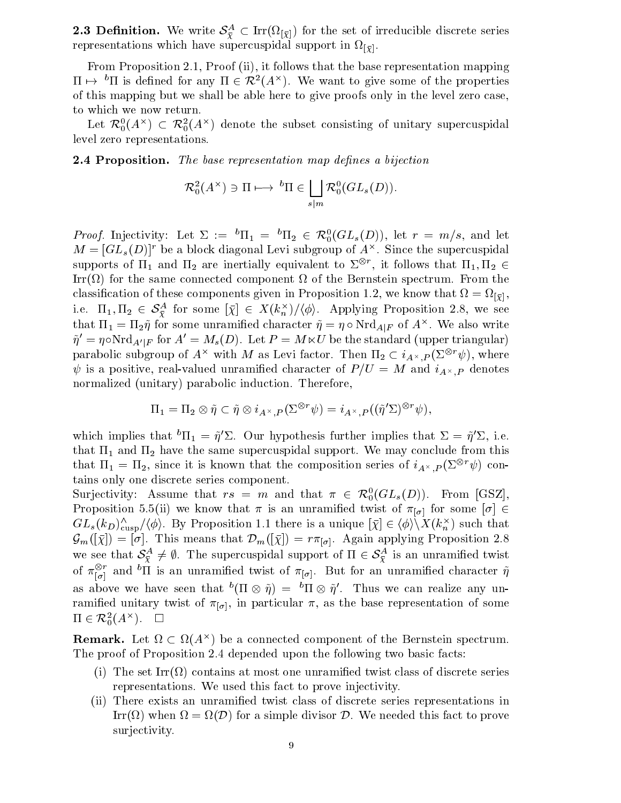**2.3 Denmition.** We write  $S_{\bar{Y}} \subset \text{Irr}(\Omega[\bar{Y}])$  for the set of irreducible discrete series representations which have supercuspidal supercuspidal support in the property of  $\mathbb{P}[\mathbf{Y}]$  .

From Proposition 2.1, Proof (ii), it follows that the base representation mapping  $\Pi \mapsto \Pi$  is defined for any  $\Pi \in \mathcal{K}^-(A^+)$ . We want to give some of the properties of this mapping but we shall be able here to give proofs only in the level zero case, to which we now return.

Let  $\kappa_0(A^\smallfrown)\subset\kappa_0(A^\smallfrown)$  denote the subset consisting of unitary supercuspidal level zero representations.

**2.4 Proposition.** The base representation map defines a bijection

$$
\mathcal{R}_0^2(A^\times) \ni \Pi \longmapsto {}^b\Pi \in \bigsqcup_{s|m} \mathcal{R}_0^0(GL_s(D)).
$$

*Proof.* Injectivity: Let  $\Sigma := \Pi_1 = \Pi_2 \in \mathcal{K}_0(GL_s(D))$ , let  $r = m/s$ , and let  $M = [GL_8(D)]^{\circ}$  be a block diagonal Levi subgroup of  $A^{\circ}$ . Since the supercuspidal supports of  $\text{H}_1$  and  $\text{H}_2$  are inertially equivalent to  $\varSigma^\varphi$  , it follows that  $\text{H}_1, \text{H}_2 \in$ Irr( ) for the same connected component of the Bernstein spectrum. From the classification of these components given in Proposition 1.2, we know the first that  $\mathcal{L}^{\mathcal{A}}(X)$ i.e.  $\text{11}_1, \text{11}_2 \in \mathcal{S}_{\tilde{Y}}$  for some  $[\chi] \in \Lambda(\kappa_n)/\langle \varphi \rangle$ . Applying Proposition 2.8, we see that  $\Pi_1 = \Pi_2 \eta$  for some unramined character  $\eta = \eta \circ \mathrm{Nrd}_{A|F}$  of  $A^{\sim}$ . We also write  $\tilde{\eta}' = \eta \circ \text{Nrd}_{A'|F}$  for  $A' = M_s(D)$ . Let  $P = M \ltimes U$  be the standard (upper triangular) parabolic subgroup of A<sup>-1</sup> with M as Levi factor. Then  $\Pi_2 \subset \imath_{A^\times, P}(\mathbb{Z}^\times | \psi),$  where is a positive, real-valued  $\alpha$  and  $\alpha$  and  $\alpha$  and  $\alpha$  and  $\alpha$  and  $\beta$  . The main i $A\cap I$  is denotes the main normalized (unitary) parabolic induction. Therefore,

$$
\Pi_1 = \Pi_2 \otimes \tilde{\eta} \subset \tilde{\eta} \otimes i_{A^{\times},P}(\Sigma^{\otimes r} \psi) = i_{A^{\times},P}((\tilde{\eta}' \Sigma)^{\otimes r} \psi),
$$

which implies that  $11_1 = \eta L$ . Our hypothesis further implies that  $\Delta = \eta L$ , i.e. that 1 and 2 have the same supercuspidal support. We may conclude from this that  $\mathbf{n}_1 = \mathbf{n}_2$ , since it is known that the composition series of  $i_{A^\times, P}(\mathcal{Z}^\circ \ \psi)$  contains only one discrete series component.

Surjectivity: Assume that  $rs = m$  and that  $\pi \in \mathcal{R}_0(GL_s(D))$ . From [GSZ], Proposition 5.5(ii) we know that  $\pi$  is an unramified twist of  $\pi_{[\sigma]}$  for some  $[\sigma] \in$ Surjectivity: Assume that  $rs = m$  and that  $\pi \in \mathcal{R}_0^0(GL_s(D))$ . From [GSZ],<br>Proposition 5.5(ii) we know that  $\pi$  is an unramified twist of  $\pi_{[\sigma]}$  for some  $[\sigma] \in GL_s(k_D)_{\text{cusp}}^\wedge/\langle \phi \rangle$ . By Proposition 1.1 there is a uniqu  $\mathcal{G}_m(|\chi|) \equiv |\theta|$ . This means that  $\nu_m(|\chi|) \equiv r \pi_{[\sigma]}$ . Again applying Proposition 2.8 we see that  $\mathcal{S}_{\bar{Y}} \neq \emptyset$ . The supercuspidal support of  $\Pi \in \mathcal{S}_{\bar{Y}}$  is an unramined twist  $\langle \phi \rangle$ . By Proposition 1.1 there is a unique  $[\bar{\chi}] \in \langle \phi \rangle \backslash X(k_n^{\times})$ .<br>This means that  $\mathcal{D}_m([\bar{\chi}]) = r \pi_{[\sigma]}$ . Again applying Prop<br> $\frac{A}{\bar{\chi}} \neq \emptyset$ . The supercuspidal support of  $\Pi \in \mathcal{S}_{\bar{\chi}}^{\mathcal{A}}$  is an unran of  $\pi_{[\sigma]}^-$  and "II is an unramified twist of  $\pi_{[\sigma]}^-$ . But for an unramified character  $\eta$ as above we have seen that  $\tilde{\;}$  (ii  $\otimes$   $n)$   $\equiv$   $\tilde{\;}$  ii  $\otimes$   $n$  . Thus we can realize any unramies twist of  $\mathbf{u}$  is the base representation of some representation of some representation of some representation of some representation of some representation of some representation of some representation of some as above we have:<br>ramified unitary two<br> $\Pi \in \mathcal{R}^2_0(A^\times)$ .  $_0(A^{\cdots}).$   $\Box$ 

**Remark.** Let  $\Omega \subset \Omega(A^{\times})$  be a connected component of the Bernstein spectrum. The proof of Proposition 2.4 depended upon the following two basic facts:

- $\mathcal{N}$  The set  $\mathcal{N}$  at most one unramified twist contains of discrete series of discrete series of discrete series of discrete series of discrete series of discrete series of discrete series of discrete series of di representations. We used this fact to prove injectivity.
- (ii) There exists an unramied twist class of discrete series representations in Ifr(52) when  $\Omega = \Omega(\nu)$  for a simple divisor  $\nu$ . We needed this fact to prove surjectivity.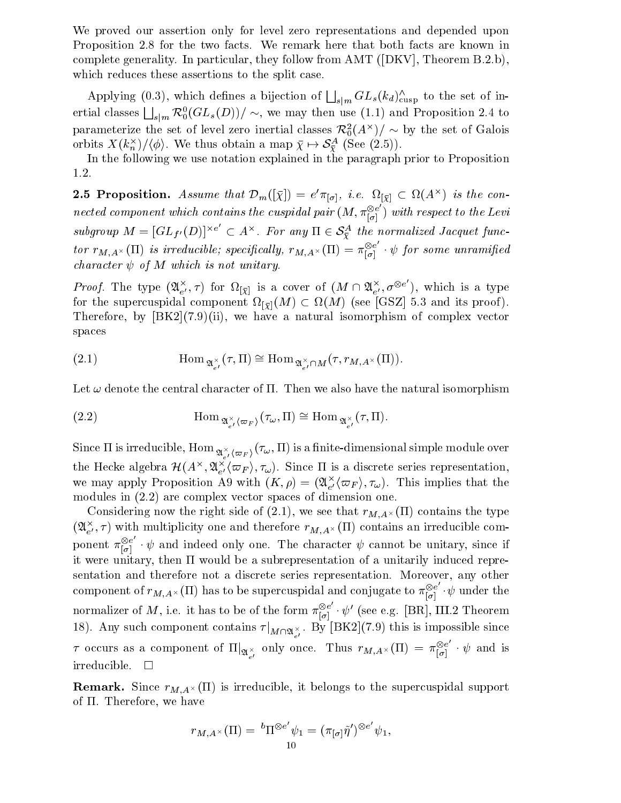We proved our assertion only for level zero representations and depended upon Proposition 2.8 for the two facts. We remark here that both facts are known in complete generality. In particular, they follow from AMT ([DKV], Theorem B.2.b), which reduces these assertions to the split case.

Applying (0.3), which defines a bijection of  $\bigsqcup_{s|m} GL_s(k_d)_{\text{cusp}}^{\wedge}$  to the set of inertial classes  $\bigsqcup_{s|m}\mathcal{R}_0^0(GL_s(D))/\sim$ , we may then use (1.1) and Proposition 2.4 to parameterize the set of level zero inertial classes  $\kappa_{0}^{-}(A^{+})/\sim$  by the set of Galois ertial classes  $\bigsqcup_{s|m} {\mathcal R}^0_0(GL_s(D))/\sim$ , we may then use (1.1) and Preparameterize the set of level zero inertial classes  ${\mathcal R}^2_0(A^\times)/\sim$  by tlass obtain a map  $\bar\chi\mapsto{\mathcal S}^{\mathcal A}_\tau$  (See (2.5)).

In the following we use notation explained in the paragraph prior to Proposition 1.2.

**2.5 Proposition.** Assume that  $D_m(|\chi|) = e \pi_{[\sigma]}, \ i.e.$   $\Omega_{[\bar{\chi}]} \subset \Omega(A^{\wedge})$  is the connected component which contains the cuspidal pair  $(M, \pi_{i=1}^{\otimes e})$  with  $|\sigma|$  ) with respect to the Levisubgroup  $M = [GL_{f'}(D)]^{\times e} \subset A^{\times}$ . For any  $\Pi \in S^A_{\overline{Y}}$  the normalized Jacquet func- $\begin{aligned} &\mathcal{L}_{m}(\mathcal{X}_{1})=\mathcal{C}^{(K)}[\sigma],\ \textit{i.e.}\ \mathcal{L}_{\mathcal{X}_{2}}^{(K)}\subseteq\mathcal{S}_{2}^{(K)}\ &\textit{in} \ \textit{for any}\ \Pi\in\mathcal{S}_{2}^{A}\ \textit{the normal} \end{aligned}$ tor  $r_{M,A}\times(\Pi)$  is irreducible; specifically,  $r_{M,A}\times(\Pi) = \pi_{\lceil \sigma \rceil}^{\otimes e}$   $\cdot \psi$  for some unramified character  $\psi$  of M which is not unitary.

*Proof.* The type  $(\mathfrak{A}_{e'}^{\times}, \tau)$  for  $\Omega_{[\bar{\chi}]}$  is a cover of  $(M \cap \mathfrak{A}_{e'}^{\times}, \sigma^{\otimes e})$ , wh ), which is a type to the interval  $\mathcal{P}$ for the supercuspidal component  $\Omega[\bar{y}](M) \subseteq \Omega(M)$  (see [GSZ] 5.3 and its proof). Therefore, by  $[BK2](7.9)$ (ii), we have a natural isomorphism of complex vector spaces

(2.1) 
$$
\operatorname{Hom}_{\mathfrak{A}_{e'}^{\times}}(\tau, \Pi) \cong \operatorname{Hom}_{\mathfrak{A}_{e'}^{\times} \cap M}(\tau, r_{M, A^{\times}}(\Pi)).
$$

Let  $\omega$  denote the central character of  $\Pi$ . Then we also have the natural isomorphism

(2.2) 
$$
\text{Hom}_{\mathfrak{A}_{e'}^{\times}(\varpi_F)}(\tau_{\omega}, \Pi) \cong \text{Hom}_{\mathfrak{A}_{e'}^{\times}}(\tau, \Pi).
$$

Since it is irreducible, Home  $\mathfrak{A}_{e'}^{\rightarrow}(\varpi_F)$  (  $\omega$  ) is a finite-dimensional simple module over a finite the Hecke algebra  $\mathcal{H}(A^\wedge, \mathcal{U}_{e'}(\varpi_F), \tau_\omega)$ . Since II is a discrete series representation, we may apply Proposition A9 with  $(\Lambda, \rho) = ( \mathfrak{A}_{e'} ( \varpi_F), \tau_\omega ).$  This implies that the modules in (2.2) are complex vector spaces of dimension one.

Considering now the right side or  $(2.1)$ , we see that r $M_{1}A/(2.1)$  contains the type  $(\mathfrak{A}_{e'}, \tau)$  with multiplicity one and therefore  $r_{M,A}\times (11)$  contains an irreducible component  $\pi_{\lbrack\sigma]}^{\otimes e}$   $\cdot \psi$  and indeed only one. The character  $\psi$  cannot be unitary, since if it were unitary, then  $\Pi$  would be a subrepresentation of a unitarily induced representation and therefore not a discrete series representation. Moreover, any other component of  $r_{M,A^\times}(\Pi)$  has to be supercuspidal and conjugate to  $\pi_{[\sigma]}^{\otimes e} \cdot \psi$  under the normalizer of  $M,$  i.e. it has to be of the form  $\pi_{\lbrack\sigma]}^{\otimes e}\cdot\psi'$  (see e.g. [BR], III.2 Theorem 18). Any such component contains  $\tau|_{M\cap\mathfrak{A}_{e'}^{\times}}$ . By [BK2](7.9) this is impossible since  $\tau$  occurs as a component of  $\Pi|_{\mathfrak{A}_{e'}^\times}$  only once. Thus  $r_{M,A^\times}(\Pi) = \pi_{[\sigma]}^{\otimes e} \cdot \psi$  and is irreducible.

remark. Since  $M$ ;A-() is interacted, it is interacted, it is interacted to the support interacted in  $\mu$  is i of  $\Pi$ . Therefore, we have

$$
r_{M,A^\times}(\Pi) = {}^{b}\Pi^{\otimes e'}\psi_1 = (\pi_{[\sigma]}\tilde{\eta}')^{\otimes e'}\psi_1,
$$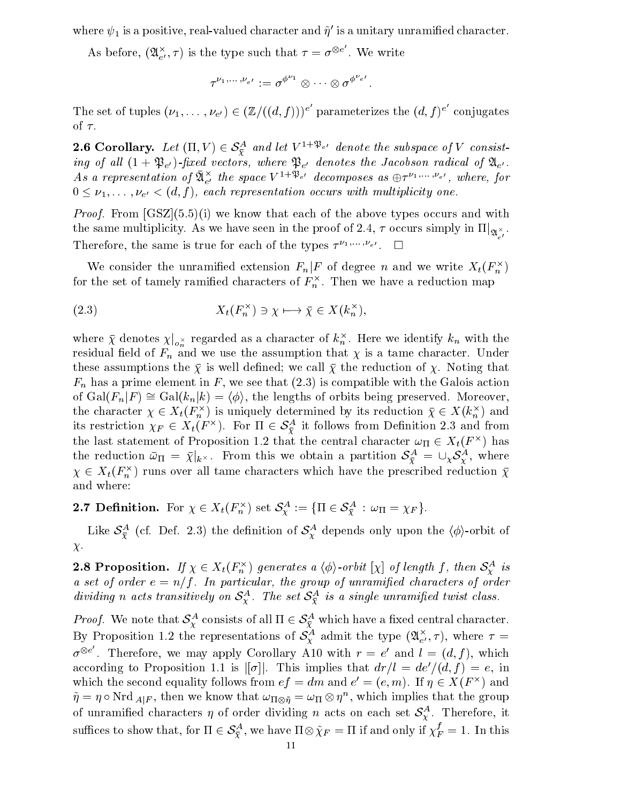where  $\psi_1$  is a positive, real-valued character and  $\eta$  -is a unitary unramined character.

As before,  $(\mathfrak{A}^{\times}_{e'}, \tau)$  is the type such that  $\tau = \sigma^{\otimes e}$  . We wr  $=\sigma^{\otimes e}$ . We wr

$$
\tau^{\nu_1,\dots,\nu_{\,e'}}:=\sigma^{\phi^{\nu_1}}\otimes\dots\otimes\sigma^{\phi^{\nu_{\,e'}}}.
$$

The set of tuples  $(\nu_1,\ldots,\nu_{e'}) \in (\mathbb{Z}/((d,f)))^e$  parar parameterizes the  $(d, f)^e$  conju conjugates and conjugates are conjugated by the conjugate of the conjugate of the conjugate of the conjugate of the conjugate of the conjugate of the conjugate of the conjugate of the conjugate of the conjugate of the conj of  $\tau$ . 2.6 Corollary. Let  $(\Pi, V) \in S^A_{\overline{Y}}$  and let  $V^{1+\mathfrak{P}_{e'}}$  denote the subspace of V consist-

ing of al l (1 + Pe0 )-xed vectors, where Pe<sup>0</sup> denotes the Jacobson radical of Ae0 . As a representation of  $\mathcal{X}_{e}^{\gamma}$  the space  $V^{+}\gamma e^{\gamma}$  aecomposes as  $\oplus\tau^{e_1,\ldots,e_{e^{\gamma}}},$  where, for  $0 \leq \nu_1,\ldots,\nu_{e'} < (d, f)$ , each representation occurs with multiplicity one.

*Proof.* From  $[GZ](5.5)(i)$  we know that each of the above types occurs and with the same multiplicity. As we have seen in the proof of 2.4,  $\tau$  occurs simply in  $\Pi|_{\mathfrak{A}_{e'}^{\times}}.$ **Therefore, the same is true for each of the types**  $T^{(1)}$ ;  $e^{\alpha}$ .  $\square$ 

We consider the unramined extension  $F_n|F$  of degree n and we write  $\Lambda_t(F_n^{\,\,\gamma})$ for the set of tamely ramined characters of  $F_n$  . Then we have a reduction map

(2.3) 
$$
X_t(F_n^{\times}) \ni \chi \longmapsto \bar{\chi} \in X(k_n^{\times}),
$$

where  $\bar{\chi}$  denotes  $\chi|_{o_n^{\times}}$  regarded as a character of  $k_n^{\times}$ . Here we identify  $k_n$  with the residual erret in F $\mu$  and we use the assumption that  $\Lambda$  of a tame character. Under the assumption that  $\mu$ these assumptions the  $\bar{\chi}$  is well defined; we call  $\bar{\chi}$  the reduction of  $\chi$ . Noting that  $F_n$  has a prime element in F, we see that  $(2.3)$  is compatible with the Galois action of  $Gal(F_n|F) \cong Gal(k_n|k) = \langle \phi \rangle$ , the lengths of orbits being preserved. Moreover, the character  $\chi \in \Lambda_t(F_n^{\rightarrow})$  is uniquely determined by its reduction  $\chi \in \Lambda(K_n^{\rightarrow})$  and its restriction  $\chi_F \in A_t(F^{\times})$ . For  $\Pi \in \mathcal{S}_{\widetilde{Y}}^{\times}$  it follows from Definition 2.3 and from the last statement of Proposition 1.2 that the central character  $\omega_\Pi \in \Lambda_t({\bf f} \cap$  has the reduction  $\omega_{\Pi} = \chi_{|k^{\times}}$ . From this we obtain a partition  $\sigma_{\tilde{Y}}^{\sim} = \cup_{\chi} \sigma_{Y}^{\sim}$ , where  $\chi \in \Lambda_t(F_n^\gamma)$  runs over all tame characters which have the prescribed reduction  $\chi$ and where: 2.7 Definition. For  $\chi \in X_t(F_n^{\times})$  set  $\mathcal{S}_\chi^A := \{\Pi \in \mathcal{S}_\chi^A : \omega_\Pi = \chi_F\}.$ 

Like  $\mathcal{S}_{\overline{Y}}^{\perp}$  (cf. Def. 2.3) the definition of  $\mathcal{S}_{Y}^{\perp}$  depends only upon the ( $\phi$ )-orbit of  $\chi$ .

**2.8 Proposition.** If  $\chi \in \Lambda_t(\mathbf{r}_n^{\times})$  generates a  $\langle \varphi \rangle$ -orbit  $[\chi]$  of length f, then  $S_Y^{\times}$  is a set of order  $e = n/f$ . In particular, the group of unramified characters of order aiviaing n acts transitively on  $S_{\mathcal{I}}^{\mathcal{I}}$ . The set  $S_{\mathcal{I}}^{\mathcal{I}}$  is a single unramified twist class. ively on  $S_\chi^A$ . The set  $S_\chi^A$  is a single<br> $\chi^A$  consists of all  $\Pi \in S_\chi^A$  which have

*Proof.* We note that  $S_{\mathcal{V}}^{\infty}$  consists of all  $\Pi \in S_{\mathcal{V}}^{\infty}$  which have a fixed central character. By Proposition 1.2 the representations of  $\mathcal{S}_\mathcal{X}^\alpha$  admit the type  $(\mathcal{U}_{e'}, \tau)$ , where  $\tau =$  $\sigma^{\otimes e}$  . The . Interefore, we may apply Corollary A10 with  $r = e$  and  $i = (a, j)$ , which according to Proposition 1.1 is  $|[\sigma]|$ . This implies that  $dr/l = de^{\prime}/(d, f) = e$ , in which the second equality follows from  $e_I = am$  and  $e_i = (e, m)$ . If  $\eta \in A(F^{\times})$  and  $\eta = \eta \circ \text{Nrd }_{A|F}, \text{ then we know that } \omega_{\Pi \otimes \tilde{n}} = \omega_{\Pi} \otimes \eta^{\perp}, \text{ which implies that the group }$ of unrammed characters  $\eta$  of order dividing  $n$  acts on each set  $\mathcal{S}_{\mathbf{Y}}$  . Therefore, it  $\eta = \eta \circ \text{Nrd }_{A|F}$ , then we know that  $\omega_{\Pi \otimes \tilde{\eta}} =$ <br>of unramified characters  $\eta$  of order dividing<br>suffices to show that, for  $\Pi \in \mathcal{S}^{\mathcal{A}}_{\tilde{\tau}}$ , we have  $\Pi$  $\frac{f_1}{\overline{\chi}}$ , we have  $\Pi\otimes\chi_F= \Pi$  if and only if  $\chi_F'=1$ . In this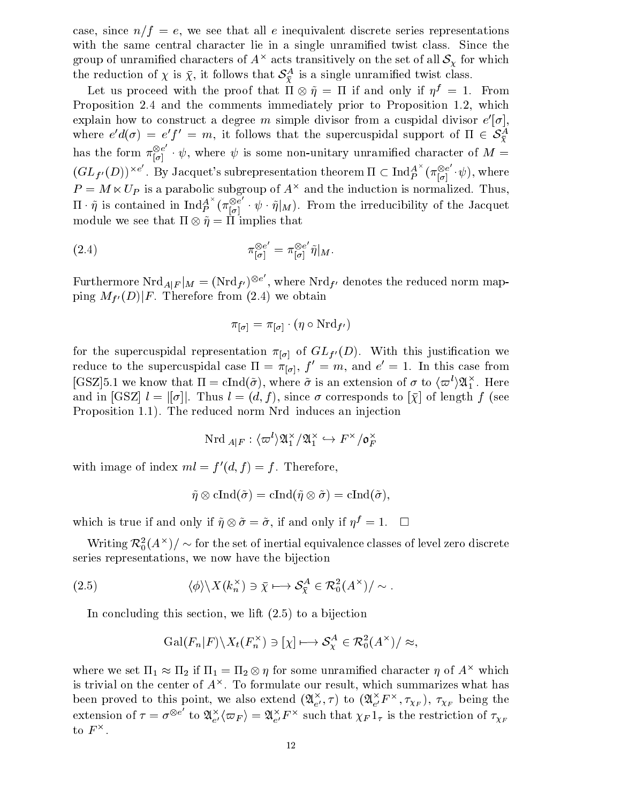case, since  $n/f = e$ , we see that all e inequivalent discrete series representations with the same central character lie in a single unramied twist class. Since the group of unramined characters of  $A^\smallfrown$  acts transitively on the set of all  $\mathcal{S}_Y$  for which the reduction of  $\chi$  is  $\chi$ , it follows that  $\mathcal{S}_{\overline{Y}}$  is a single unramined twist class.

Let us proceed with the proof that  $\Pi \otimes \eta \equiv \Pi$  if and only if  $\eta^\vee \equiv \bot$ . From Proposition 2.4 and the comments immediately prior to Proposition 1.2, which explain now to construct a degree  $m$  simple divisor from a cuspidal divisor  $e\,|\sigma|,$ where  $e \ a(\sigma) = e \ f \ = m$ , it follows that the supercuspidal support of  $\Pi \in \mathcal{S}_{\overline{Y}}$ has the form  $\pi_{\lceil \sigma \rceil}^{\otimes e} \cdot \psi$ , where  $\psi$  is some non-unitary unramified character of  $M =$  $(GL_{f'}(D))^{\times e'}$  . By Jacquet's subrepresentation theorem  $\Pi\subset \mathrm{Ind}_P^{A\wedge}(\pi_{[\sigma]}^{\otimes e}\cdot\psi),$  where  $P = M \ltimes U$  is a parabolic subgroup of  $A^+$  and the induction is normalized. Thus,  $\Pi \cdot \tilde{\eta}$  is contained in  $\text{Ind}_{P}^{A^{\wedge}}(\pi_{\lbrack \sigma \rbrack}^{\otimes e}\ \cdot \psi \cdot \tilde{\eta}\rbrack_M)$ . From the irreducibility of the Jacquet module we see that  $\Pi \otimes \eta = \Pi$  implies that

(2.4) 
$$
\pi_{[\sigma]}^{\otimes e'} = \pi_{[\sigma]}^{\otimes e'} \tilde{\eta}|_M.
$$

Furthermore  $\text{Nrd}_{A|F}|_M = (\text{Nrd}_{f'})^{\otimes e}$ , where  $\text{Nrd}_{f'}$  denotes the reduced norm mapping  $M_{f'}(D)|F$ . Therefore from (2.4) we obtain

$$
\pi_{[\sigma]} = \pi_{[\sigma]} \cdot (\eta \circ \mathrm{Nrd}_{f'})
$$

for the supercuspidal representation  $\pi_{[\sigma]}$  of  $GL_{f'}(D)$ . With this justification we reduce to the supercuspidal case  $\Pi = \pi_{[\sigma]}, \, f = m$ , and  $e = 1$ . In this case from  $[\mathsf{GSL}]$ 5.1 we know that  $\Pi \equiv \text{cind}(\sigma)$ , where  $\sigma$  is an extension of  $\sigma$  to  $\langle \varpi \rangle \mathcal{U}_1$ . Here and in [GSZ]  $l = ||\sigma||$ . Thus  $l = (d, f)$ , since  $\sigma$  corresponds to  $[\bar{\chi}]$  of length f (see Proposition 1.1). The reduced norm Nrd induces an injection

$$
\mathrm{Nrd}\ _{A|F}:\langle \varpi ^{l}\rangle \mathfrak{A}_{1}^{\times}/\mathfrak{A}_{1}^{\times}\hookrightarrow F^{\times}/\mathfrak{o}_{F}^{\times}
$$

with image of index  $ml = f'(d, f) = f$ . Therefore,

$$
\tilde{\eta} \otimes \mathrm{cInd}(\tilde{\sigma}) = \mathrm{cInd}(\tilde{\eta} \otimes \tilde{\sigma}) = \mathrm{cInd}(\tilde{\sigma}),
$$

which is true if and only if  $\eta \otimes \sigma = \sigma$ , if and only if  $\eta^* = 1$ .  $\Box$ 

Writing  $\kappa_{0}^{-}(\mathbf{A}^{+})/\sim$  for the set of inertial equivalence classes of level zero discrete series representations, we now have the bijection ection<br> $\frac{A}{\tilde{X}} \in \mathcal{R}_0^2(A^{\times})/\sim.$ 

series representations, we now have the bijection  
\n(2.5) 
$$
\langle \phi \rangle \langle X(k_n^{\times}) \ni \bar{x} \longmapsto \mathcal{S}_{\bar{x}}^A \in \mathcal{R}_0^2(A^{\times})/\sim.
$$

In concluding this section, we lift (2.5) to a bijection, we lift (2.5) to a bijection, we lift (2.5) to a bijection, we lift (2.5) to a bijection, we lift (2.5) to a bijection, we lift (2.5) to a bijection, we lift (2.5)

this section, we lift (2.5) to a bijection  
\n
$$
Gal(F_n|F)\backslash X_t(F_n^{\times})\ni[\chi]\longmapsto \mathcal{S}^A_{\chi}\in \mathcal{R}_0^2(A^{\times})/\approx,
$$

where we set  $\Pi_1 \approx \Pi_2$  if  $\Pi_1 = \Pi_2 \otimes \eta$  for some unramined character  $\eta$  of  $A^\sim$  which is trivial on the center of  $A^\smallfrown$ . To formulate our result, which summarizes what has been proved to this point, we also extend  $(\mathcal{A}_{e'}, \tau)$  to  $(\mathcal{A}_{e'}, f' \wedge, \tau_{\chi_F}), \tau_{\chi_F}$  being the extension of  $\tau = \sigma^{\otimes e}$  to  $\mathfrak{A}_{e'}^{\times} \langle \varpi_F \rangle = \mathfrak{A}_{e'}^{\times} F^{\times}$  such that  $\chi_F 1_\tau$  is the restriction of  $\tau_{\chi_F}$ to  $F^{\times}$ .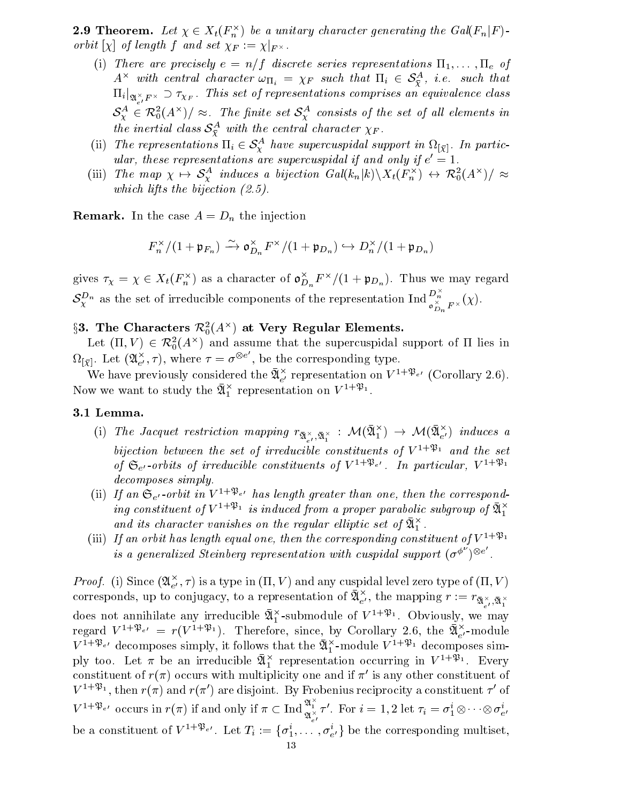**2.9 Incorem.** Let  $\chi \in \Lambda_t(\overline{F_n})$  be a unitary character generating the Gal( $\overline{F_n}$ ) orbit  $|\chi|$  of length f and set  $\chi_F := \chi_{|F^\times}$ .

- (i) There are precisely  $e = n/f$  discrete series representations  $\Pi_1,\ldots,\Pi_e$  of  $A^{\wedge}$  with central character  $\omega_{\Pi_i} = \chi_F$  such that  $\Pi_i \in \mathcal{S}^{\varphi}_\mathcal{Y}$ , i.e. such that  $\prod_{i \mid \mathfrak{A}_{e'}^{\times}F^{\times}} \supset \tau_{\chi_F}$ . This set of representations comprises an equivalence class  $\mathcal{S}_{\mathbf{y}}^{\mathbf{y}} \in \mathcal{K}_{0}(A^{\wedge})/\approx$ . The finite set  $\mathcal{S}_{\mathbf{y}}^{\mathbf{y}}$  consists of the set of all elements in the inertial class  $S_{\overline{Y}}^{\pm}$  with the central character  $\chi_F$ .  $S^A_\chi \in \mathcal{R}_0^2(A^\times)/\approx$ . The finite set  $S^A_\chi$  consists of the set of all elements in<br>the inertial class  $S^A_{\bar{\chi}}$  with the central character  $\chi_F$ .<br>(ii) The representations  $\Pi_i \in S^A_\chi$  have supercuspidal support in
- ular, these representations are supercuspidal if and only if  $e = 1$ .
- (iii) The map  $\chi \mapsto S_{\chi}^+$  induces a bijection  $Gal(\kappa_n|\kappa) \backslash \Lambda_t(\Gamma_n^+) \leftrightarrow \mathcal{K}_0^-(A^{\wedge})/\approx$ which lifts the bijection (2.5).

**Remark.** In the case  $A = D_n$  the injection

$$
F_n^\times/(1+\mathfrak{p}_{F_n}) \xrightarrow{\sim} \mathfrak{o}_{D_n}^\times F^\times/(1+\mathfrak{p}_{D_n}) \hookrightarrow D_n^\times/(1+\mathfrak{p}_{D_n})
$$

gives  $\tau_{\chi} = \chi \in X_t(F_n^{\gamma})$  as a character of  $\mathfrak{d}_{D_n}^{\gamma}F^{\gamma}/(1 + \mathfrak{p}_{D_n})$ . Thus we may regard  $\mathcal{S}_{\chi}^{D_n}$  as the set of irreducible components of the representation  $\text{Ind}_{\mathfrak{O}_{D_n}^{\times}F^{\times}}^{D_n}(\chi)$ .

# $3$ 5. The Characters  $\kappa_{0}^{-}(A^{\sim})$  at very Regular Elements.

Let  $(II, V) \in \mathcal{K}_0^1(A^\wedge)$  and assume that the supercuspidal support of 11 lies in  $\Omega_{[\bar{\chi}]}$ . Let  $(\mathfrak{A}_{e'}^\times, \tau)$ , where  $\tau = \sigma^{\otimes e}$  , be the , be the corresponding type. The corresponding type  $\mathbf{f}(\mathbf{A})$  and  $\mathbf{f}(\mathbf{A})$  and  $\mathbf{f}(\mathbf{A})$ 

We have previously considered the  $\mathcal{U}_{e}^{\gamma}$  representation on  $V^{++}$   $e^{\gamma}$  (Corollary 2.6). Now we want to study the  $\mathfrak{A}_{1}^{+}$  representation on  $V^{++\infty}_{-}$ .

### 3.1 Lemma.

- (1) The Jacquet restriction mapping  $r_{\bar{\mathfrak{A}}^\times_{e'},\bar{\mathfrak{A}}^\times_1} : \mathcal{M}(\mathfrak{A}^\times_1) \to \mathcal{M}(\mathfrak{A}^\times_{e'})$  induces a bijection between the set of irreducible constituents of  $V^{1+\mathfrak{B}_1}$  and the set of  $\mathfrak{S}_{e}$  -orbits of irreducible constituents of  $V^{1+\mathfrak{P}_{e'}}$ . In particular,  $V^{1+\mathfrak{P}_1}$ decomposes simply.
- (ii) If an  $\mathfrak{S}_{e}$ -orbit in  $V^{1+\mathfrak{P}_{e'}}$  has length greater than one, then the corresponding constituent of  $V^{1+p_1}$  is induced from a proper parabolic subgroup of  $\mathfrak{A}^+_1$  $\overline{\phantom{a}}$ and its character vanishes on the regular elliptic set of  $\mathfrak{A}_{1}^{\times}$ .
- (iii) If an orbit has length equal one, then the corresponding constituent of  $V^{1+\mathfrak{B}_1}$ is a generalized Steinberg representation with cuspidal support  $(\sigma^{\varphi})^{\otimes e}$ .

Proof. (1) Since  $(\mathfrak{A}_{e'}, \tau)$  is a type in (11, V) and any cuspidal level zero type of (11, V) corresponds, up to conjugacy, to a representation of  $\mathfrak{A}_{e'}^{\times}$ , the mapping  $r:=r_{\bar{\mathfrak{A}}_{e'}^{\times},\bar{\mathfrak{A}}_1^{\times}}$ does not annihilate any irreducible  $\bar{\mathfrak{A}}_1^\times$ -submodule of  $V^{1+\mathfrak{P}_1}$ . Obviously, we may regard  $V^{1+\mathfrak{P}_{e'}} = r(V^{1+\mathfrak{P}_1}).$  Therefore, since, by Corollary 2.6, the  $\bar{\mathfrak{A}}_{e'}^{\times}$ -module  $V^{1+\gamma}e^{\gamma}$  decomposes simply, it follows that the  $\alpha_1$ -module  $V^{1+\gamma}$  decomposes simply too. Let  $\pi$  be an irreducible  $\mathfrak{A}_{1}^{+}$  representation occurring in  $V^{++\infty}_{-}$ . Every constituent of  $r(\pi)$  occurs with multiplicity one and if  $\pi'$  is any other constituent of  $V^{-1/p_1}$ , then  $r(\pi)$  and  $r(\pi)$  are disjoint. By Frobenius reciprocity a constituent  $\tau$  of  $V^{1+\mathfrak{P}_{e'}}$  occurs in  $r(\pi)$  if and only if  $\pi \subset \text{Ind}_{\mathfrak{A}_{e'}^{\times}}^{\mathfrak{A}_{1}^{\times}} \tau'$ . For  $i = 1, 2$  let  $\tau_i = \sigma_1^i \otimes \cdots \otimes \sigma_{e'}^i$ tuent of<br>ent  $\tau'$  of be a constituent of  $V^{1+p}e$ . Let  $T_i:=\{o_1^1,\ldots,o_{e'}^r\}$  be the corresponding multiset,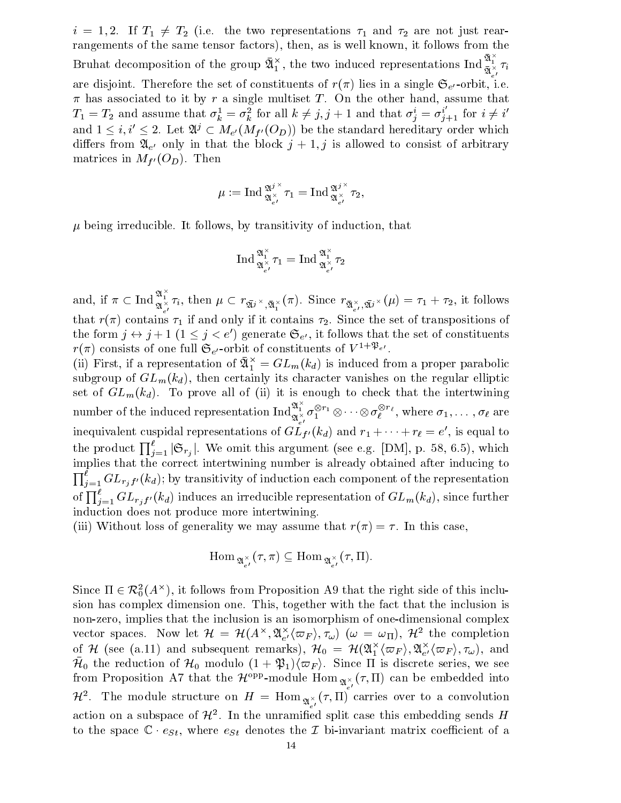$i = 1, 2$ . If  $I_1 \neq I_2$  (i.e. the two representations  $\tau_1$  and  $\tau_2$  are not just rearrangements of the same tensor factors), then, as is well known, it follows from the Bruhat decomposition of the group  $\bar{\mathfrak{A}}_1^{\times}$ , the two induced representations Ind  $\frac{\mathfrak{A}_1^{\times}}{\bar{\mathfrak{A}}_{e'}^{\times}}\tau_i$ are disjoint. Therefore the set of constituents of  $r(\pi)$  lies in a single  $\mathfrak{S}_{e'}$ -orbit, i.e.  $\pi$  has associated to it by r a single multiset T. On the other hand, assume that  $T_1 = T_2$  and assume that  $\sigma_k^1 = \sigma_k^2$  for all  $k \neq j, j + 1$  and that  $\sigma_j^i = \sigma_{j+1}^i$  for  $i \neq i'$ and  $1 \leq i, i' \leq 2$ . Let  $\mathfrak{A}^j \subset M_{e'}(M_{f'}(O_D))$  be the standard hereditary order which differs from  $\mathfrak{A}_{e'}$  only in that the block  $j + 1$ , j is allowed to consist of arbitrary matrices in  $M_{f'}(O_D)$ . Then

$$
\mu:=\operatorname{Ind}_{\mathfrak A_{\boldsymbol\epsilon'}^{\times}}^{\mathfrak A^{j,\times}}\tau_1=\operatorname{Ind}_{\mathfrak A_{\boldsymbol\epsilon'}^{\times}}^{\mathfrak A^{j,\times}}\tau_2,
$$

 $\mu$  being irreducible. It follows, by transitivity of induction, that

$$
\operatorname{Ind}_{\mathfrak{A}_{e'}^{\times}\mathcal{I}_1}^{\mathfrak{A}^{\times}_{1}}=\operatorname{Ind}_{\mathfrak{A}_{e'}^{\times}\mathcal{I}_2}^{\mathfrak{A}^{\times}_{1}}
$$

 $\alpha_{e'}^{2}$ .  $\alpha_{e'}^{2}$ <br>and, if  $\pi \subset \text{Ind}^{\mathfrak{A}_{+}^{\times}} \tau_i$ , then  $\mu \subset r_{\infty} \times \tau_{\infty}(\pi)$ . Since  $r_{\infty}$  $\mathcal{L}^{\mathcal{L}_{1}}_{\mathcal{R}_{\epsilon'}}$ , then  $\mu \subset r_{\mathfrak{A}_{\beta}} \times_{\mathfrak{A}_{1}^{\times}} (\pi)$ . Since  $r_{\mathfrak{A}_{\epsilon'}^{\times},\mathfrak{A}_{\beta}} \times (\mu) = \tau_{1} + \tau_{2}$ , it follows that reflecting  $\alpha$  if and only if and only if and only if it contains  $\alpha$  since the set of transpositions of transpositions of transpositions of transpositions of transpositions of transpositions of transpositions of t the form  $j \leftrightarrow j + 1$   $(1 \leq j \leq e')$  generate  $\mathfrak{S}_{e'}$ , it follows that the set of constituents  $r(\pi)$  consists of one full  $\mathfrak{S}_{e}$ -orbit of constituents of  $V^{1+\mathfrak{P}_{e'}}$ .

(ii) First, if a representation of  $u_1^+ = G L_m(\kappa_d)$  is induced from a proper parabolic subgroup of  $GL_m(k_d)$ , then certainly its character vanishes on the regular elliptic set of GLM(kd). To prove all of (ii) it is enough to checker that the intertwining  $\cap$ number of the induced representation  $\mathrm{Ind}_{\mathfrak{A}_{\epsilon'}}^{\mathfrak{A}_1^{\times}} \sigma_1^{\otimes r_1} \otimes \cdots \otimes \sigma_\ell^{\otimes r_\ell}$ , where  $\alpha$ vanishes on the  $\frac{1}{2}$ <br>to check that the  $\ell$ ,  $\cdots$  =  $\cdots$   $\cdots$   $\cdots$  ;  $\cdots$   $\cdots$   $\cdots$   $\cdots$   $\cdots$ inequivalent cuspidal representations of G $L$ f'(Kd) and  $r_1 + \cdots + r_\ell = e$  , is equal to the product  $\prod_{i=1}^{t} |\mathfrak{S}_{r_i}|$ . We omit this argument (see e.g. [DM], p. 58, 6.5), which implies that the correct intertwining number is already obtained after inducing to  $\mathbf{u}$  $j=1$  GPr  $j$  f  $(u,y)$  by transitivity of induction each component of the representation of  $\prod_{i=1}^{\ell} GL_{r_i f'}(k_d)$  induces an irreducible representation of  $GL_m(k_d),$  since further induction does not produce more intertwining.

(iii) Without loss of generality we may assume that  $r(\pi) = \tau$ . In this case,

$$
\mathrm{Hom}_{\,\mathfrak{A}_{\,e'}^{\,\times\,}}(\tau,\pi)\subseteq\mathrm{Hom}_{\,\mathfrak{A}_{\,e'}^{\,\times\,}}(\tau,\Pi).
$$

 $\text{Hom}_{\mathfrak{A}_{e'}^{\times}}(\tau,\pi) \subseteq \text{Hom}_{\mathfrak{A}_{e'}^{\times}}(\tau,11).$ <br>Since  $\Pi \in \mathcal{R}_0^2(A^{\times})$ , it follows from Proposition A9 that the right side of this inclusion has complex dimension one. This, together with the fact that the inclusion is non-zero, implies that the inclusion is an isomorphism of one-dimensional complex vector spaces. Now let  $\mathcal{H} = \mathcal{H}(A^\wedge, \mathfrak{A}_{e'}^\wedge(\varpi_F), \tau_\omega)$  ( $\omega = \omega_\Pi$ ),  $\mathcal{H}^\omega$  the completion of  $H$  (see (a.11) and subsequent remarks),  $H_0\ =\ H({\mathfrak A}_1^{\scriptscriptstyle\vee}\langle\varpi_F\rangle, {\mathfrak A}_{e'}^{\scriptscriptstyle\vee}\langle\varpi_F\rangle, \tau_\omega) ,$  and  $\bar{\mathcal{H}}_0$  the reduction of  $\mathcal{H}_0$  modulo  $(1+\mathfrak{P}_1)\langle\varpi_F\rangle$ . Since  $\Pi$  is discrete series, we see from Proposition A7 that the  $\mathcal{H}^{*_{FF}}$ -module  $\text{nom}_{\mathfrak{A}_{e'}^{\times}}(\tau, \Pi)$  can be embedded into  $\pi^-$ . The module structure on  $H = \text{Hom}_{\mathfrak{A}_{e'}^{\times}}(\tau, \Pi)$  carries over to a convolution action on a subspace of  $\mathcal{H}^+$ . In the unramined split case this embedding sends  $H$ to the space  $\mathbb{C} \cdot e_{St}$ , where  $e_{St}$  denotes the  $\mathcal I$  bi-invariant matrix coefficient of a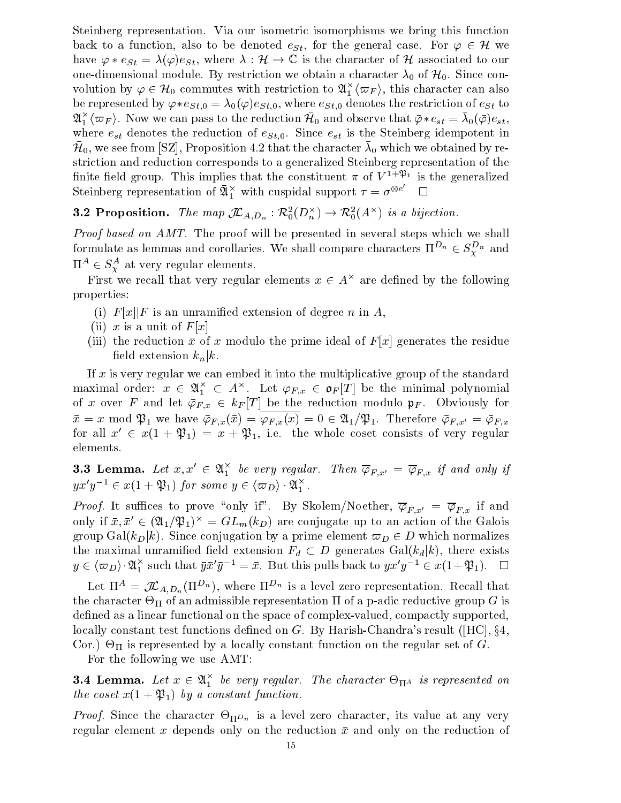Steinberg representation. Via our isometric isomorphisms we bring this function back to a function, also to be denoted  $e_{St}$ , for the general case. For  $\varphi \in \mathcal{H}$  we have  $\varphi * e_{St} = \lambda(\varphi)e_{St}$ , where  $\lambda : \mathcal{H} \to \mathbb{C}$  is the character of H associated to our one-dimensional module. By restriction we obtain a character  $\lambda_0$  of  $\mu_0$ . Since conhave  $\varphi * e_{St} = \lambda(\varphi)e_{St}$ , where  $\lambda : \mathcal{H} \to \mathbb{C}$  is the characte<br>one-dimensional module. By restriction we obtain a chara<br>volution by  $\varphi \in \mathcal{H}_0$  commutes with restriction to  $\mathfrak{A}_1^{\times} \langle \varpi_F$  $\langle \varpi_F \rangle,$  this character can also be represented by  $\varphi * e_{St,0} = \lambda_0(\varphi)e_{St,0}$ , where  $e_{St,0}$  denotes the restriction of  $e_{St}$  to  $\mathcal{A}_1\setminus\varpi_F$ ). Now we can pass to the reduction  $\mathcal{H}_0$  and observe that  $\varphi\ast e_{st}=\lambda_0(\varphi)e_{st},$ where est denotes the reduction of estimates the reduction of estimates in the Steinberg in the Steinberg in t  $\mu_0$ , we see from  $|\infty|$ , Proposition 4.2 that the character  $\lambda_0$  which we obtained by restriction and reduction corresponds to a generalized Steinberg representation of the nnite neid group. This implies that the constituent  $\pi$  of  $V^{++P+}$  is the generalized Steinberg representation of  $\mathfrak{A}^{\times}_{1}$  with cuspidal support  $\tau=\sigma^{\otimes e}$   $\hfill\Box$ Steinberg representation of  $\overline{\mathfrak{A}}_1^{\times}$  with cuspidal support  $\tau = \sigma^{\otimes e'}$   $\Box$ <br>3.2 Proposition. The map  $\mathcal{I}_{A,D_n} : \mathcal{R}_0^2(D_n^{\times}) \to \mathcal{R}_0^2(A^{\times})$  is a bijection.

Proof based on AMT. The proof will be presented in several steps which we shall formulate as lemmas and corollaries. We shall compare characters  $\Pi^{-n} \in S_{\overline{Y}}^{\perp n}$  and  $\Pi^-\in{\cal S}_Y^-$  at very regular elements.

First we recall that very regular elements  $x \in A^\times$  are defined by the following properties:

- (i)  $F[x]|F$  is an unramified extension of degree n in A,
- (ii) x is a unit of  $F[x]$
- (iii) the reduction  $\bar{x}$  of x modulo the prime ideal of  $F[x]$  generates the residue field extension  $k_n|k$ .

If  $x$  is very regular we can embed it into the multiplicative group of the standard maximal order:  $x \in \mathfrak{A}^{\scriptscriptstyle\wedge}_{1} \ \subset \ A^{\scriptscriptstyle\wedge}.$  Let  $\varphi_{F,x} \ \in \ \mathfrak{o}_F[T]$  be the minimal polynomial of x over F and let  $\overline{\varphi}_{F,x} \in k_F[T]$  be the reduction modulo  $\mathfrak{p}_F$ . Obviously for  $x = x \mod \mathfrak{P}_1$  we have  $\varphi_{F,x}(x) = \varphi_{F,x}(x) = 0 \in \mathfrak{A}_1/\mathfrak{P}_1$ . Therefore  $\varphi_{F,x'} = \varphi_{F,x}$ for all  $x' \in x(1 + \mathfrak{P}_1) = x + \mathfrak{P}_1$ , i.e. the whole coset consists of very regular elements.

**3.3 Lemma.** Let  $x, x \in \mathcal{X}_1^{\wedge}$  be very regular. Then  $\varphi_{F,x'} = \varphi_{F,x}$  if and only if **3.3 Lemma.** Let  $x, x' \in \mathfrak{A}^{\times}_1$  be very regular. Then  $yx'y^{-1} \in x(1 + \mathfrak{P}_1)$  for some  $y \in \langle \varpi_D \rangle \cdot \mathfrak{A}^{\times}_1$ .  $yx'y^{-1} \in x(1+\mathfrak{P}_1)$  for some  $y \in \langle \varpi_D \rangle \cdot \mathfrak{A}_1^{\times}$ .

*Proof.* It suffices to prove "only if". By Skolem/Noether,  $\overline{\varphi}_{F,x'} = \overline{\varphi}_{F,x}$  if and only if  $x, x \in (\alpha_1/\mathfrak{P}_1)^+ = \mathrm{G} L_m(\kappa_D)$  are conjugate up to an action of the Galois group Gal( $k_D|k$ ). Since conjugation by a prime element  $\varpi_D \in D$  which normalizes the maximal unramified field extension  $F_d \subset D$  generates  $Gal(k_d|k)$ , there exists group Gal $(k_D|k)$ . Since<br>the maximal unramified<br> $y \in \langle \varpi_D \rangle \cdot \mathfrak{A}_1^{\times}$  such that 1 such that  $yx^y = x$ . But this pulls back to  $yx^y \in x(1+\mathcal{P}_1)$ .

Let  $\Pi^{\perp} = J \mathcal{L}_{A,D_n}( \Pi^{-n}),$  where  $\Pi^{-n}$  is a level zero representation. Recall that the character - II is an admissible representation and a p-adic reductive group G is all when defined as a linear functional on the space of complex-valued, compactly supported, locally constant test functions defined on  $G$ . By Harish-Chandra's result ([HC],  $\S 4$ , Cor.) - is represented by <sup>a</sup> locally constant function on the regular set of G.

For the following we use AMT:

**3.4 Lemma.** Let  $x \in \mathfrak{A}_{1}^{\times}$  be very regular. The character  $\Theta_{\Pi^{A}}$  is represented on  $\overline{\phantom{0}}$ the coset  $x(1 + \mathfrak{P}_1)$  by a constant function.

Proof. Since the character -Dn is <sup>a</sup> level zero character, its value at any very regular element x depends only on the reduction  $\bar{x}$  and only on the reduction of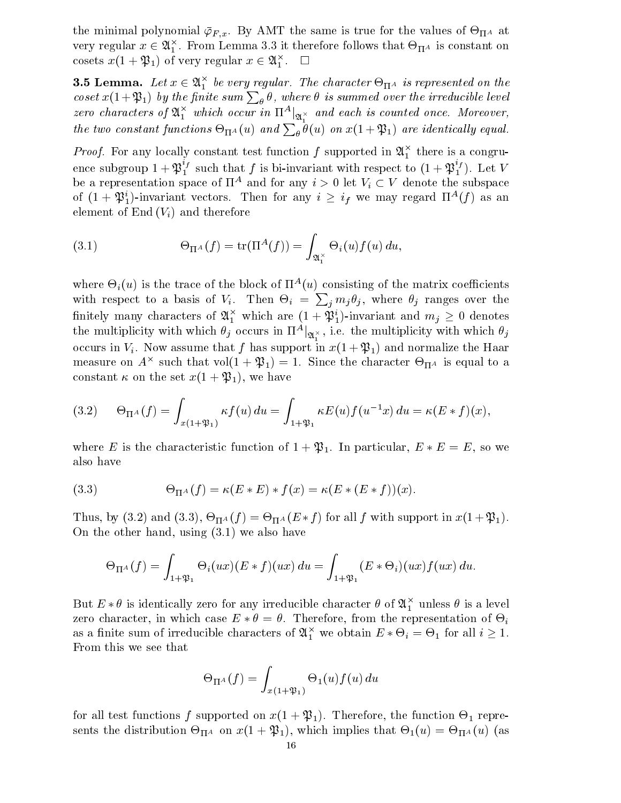the minimal polynomial  $\varphi_{F,x}.$  By AMT the same is true for the values of  $\Theta_{\Pi^A}$  at very regular  $x \in {\mathfrak A}_1^{\scriptscriptstyle\mathsf{T}}$  . From Lemma 3.3 it therefore follows that  $\mathop{\Theta_{\mathrm{II}}}$  is constant on cosets  $x(1 + \mathcal{W}_1)$  of very regular  $x \in \mathcal{U}_1^{\perp}$ .  $\Box$ 

**3.5 Lemma.** Let  $x \in \mathfrak{A}_{1}^{+}$  be very regular. The character  $\Theta_{\Pi^{A}}$  is represented on the coset  $x(1+\mathfrak{P}_1)$  by the finite sum  $\sum_{\theta} \theta$ , where  $\theta$  is summed over the irreducible level zero cnaracters of  $\mathfrak{A}_{1}^{+}$  which occur in  $\Pi^{+} \vert_{\mathfrak{A}_{1}^{\times}}$  and each is counted once. Moreover, the two constant functions  $\Theta_{\Pi^A}(u)$  and  $\sum_{\theta} \theta(u)$  on  $x(1+\mathfrak{P}_1)$  are identically equal.

*Proof.* For any locally constant test function f supported in  $\mathfrak{A}_{1}^{+}$  there is a congruence subgroup  $1+\mathfrak{P}_1^{i_f}$  such that  $f$  is bi-invariant with respect to  $(1+\mathfrak{P}_1^{i_f})$ . Let  $V$ be a representation space of  $\Pi^*$  and for any  $i > 0$  let  $V_i \subset V$  denote the subspace of  $(1 + 2\beta_1)$ -invariant vectors. Then for any  $i \geq i_f$  we may regard  $\Pi^{**}(f)$  as an element of  $End(V_i)$  and therefore

(3.1) 
$$
\Theta_{\Pi^A}(f) = \text{tr}(\Pi^A(f)) = \int_{\mathfrak{A}_1^\times} \Theta_i(u) f(u) du,
$$

where  $\Theta_i(u)$  is the trace of the block of  $\Pi^-(u)$  consisting of the matrix coefficients with respect to a basis of  $V_i$ . Then  $\Theta_i = \sum_j m_j \theta_j$ , where  $\theta_j$  ranges over the nnitely many characters of  $\mathfrak{A}_{1}^{+}$  which are  $(1 + \mathfrak{P}_{1})$ -invariant and  $m_{j} \geq 0$  denotes the multiplicity with which  $\theta_j$  occurs in  $\Pi^A|_{\mathfrak{A}_s^{\times}},$  i.e. the multiplicity with which  $\theta_j$ occurs in Vi . Now assume that f has support in the first intervalse that  $\{1, 1\}$  and the Haar support in the Haar support in measure on  $A^\wedge$  such that vol(1 +  $\psi_1$ ) = 1. Since the character  $\Theta_{\Pi^A}$  is equal to a constant  $\kappa$  on the set  $x(1 + \mathfrak{P}_1)$ , we have

(3.2) 
$$
\Theta_{\Pi^A}(f) = \int_{x(1+\mathfrak{B}_1)} \kappa f(u) du = \int_{1+\mathfrak{B}_1} \kappa E(u) f(u^{-1}x) du = \kappa (E * f)(x),
$$

where E is the characteristic function of  $1 + \mathfrak{P}_1$ . In particular,  $E * E = E$ , so we also have

(3.3) 
$$
\Theta_{\Pi^A}(f) = \kappa(E * E) * f(x) = \kappa(E * (E * f))(x).
$$

Thus, by (3.2) and (3.3),  $\bigcirc_{\Pi^A}(f) = \bigcirc_{\Pi^A}(E * f)$  for all f with support in  $x(1+\mathcal{P}_1)$ . On the other hand, using (3.1) we also have

$$
\Theta_{\Pi^A}(f) = \int_{1+\mathfrak{P}_1} \Theta_i(ux)(E * f)(ux) du = \int_{1+\mathfrak{P}_1} (E * \Theta_i)(ux) f(ux) du.
$$

But  $E * \theta$  is identically zero for any irreducible character  $\theta$  of  $\mathfrak{A}_{1}^{+}$  unless  $\theta$  is a level  $\overline{\phantom{0}}$ zero character, in which case  $E * \theta = \theta$ . Therefore, from the representation of  $\Theta_i$ as a finite sum of irreducible characters of  $\mathcal{U}_1^+$  we obtain  $E*\Theta_i=\Theta_1$  for all  $i\geq 1.$ From this we see that

$$
\Theta_{\Pi^A}(f)=\int_{x(1+\mathfrak{P}_1)}\Theta_1(u)f(u)\,du
$$

for all test functions functions functions functions  $\mathbf{f}(\mathbf{1}, \mathbf{f})$ . The function  $\mathbf{f}(\mathbf{1}, \mathbf{f})$ sents the distribution of  $\mathbf{r}$ , which is that  $\mathbf{r}$  is that  $\mathbf{r}$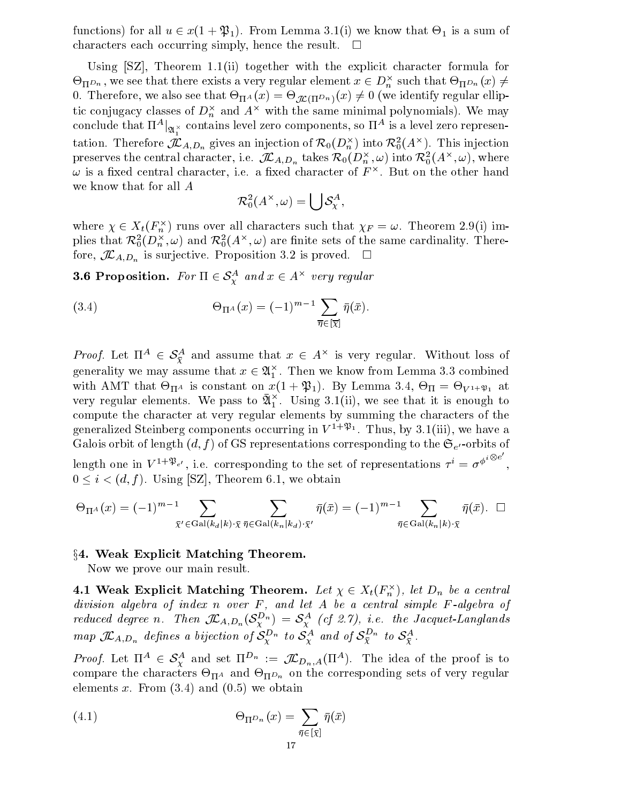functions) for all  $u \in x(1 + \mathcal{P}_1)$ . From Lemma 3.1(1) we know that  $\Theta_1$  is a sum of characters each occurring simply, hence the result.  $\square$ 

Using [SZ], Theorem 1.1(ii) together with the explicit character formula for  $\mathcal{\Theta}_{\Pi}$ D<sub>n</sub> , we see that there exists a very regular element  $x\in D_n^\times$  such that  $\mathcal{\Theta}_{\Pi}$ D<sub>n</sub>  $(x)\neq 0$ 0. Therefore, we also see that  $\Theta_{\Pi^A}(x) = \Theta_{\mathcal{M}(\Pi^D n)}(x) \neq 0$  (we identify regular emptic conjugacy classes of  $D_n$  and  $A$  – with the same minimal polynomials). We may conclude that  $\Pi^*|_{\mathfrak{A}_1^\times}$  contains level zero components, so  $\Pi^*$  is a level zero representation. Therefore  $J\!L_{A,D_n}$  gives an injection of  $\mathcal{K}_0(D_n^\gamma)$  into  $\mathcal{K}_0(A^\sim)$ . This injection preserves the central character, i.e.  $J\!L_{A_i}D_n$  takes  $\kappa_0(D_n^-, \omega)$  into  $\kappa_0^-(A^+, \omega)$ , where  $\omega$  is a fixed central character, i.e. a fixed character of  $F$  . But on the other hand we know that for all A

$$
\mathcal{R}_0^2(A^\times,\omega)=\bigcup\mathcal{S}_\chi^A,
$$

where  $\chi \in \Lambda_t(\Gamma_n^{\ \gamma})$  runs over all characters such that  $\chi_F = \omega$ . Theorem 2.9(1) imphes that  $\kappa_{0}^{\ast}(D_{n}^{\infty},\omega)$  and  $\kappa_{0}^{\ast}(A^{\sim},\omega)$  are finite sets of the same cardinality. Therefore,  $J\mathcal{L}_{A,D_n}$  is surjective. Proposition 3.2 is proved.  $\Box$ phes that  $\mathcal{K}_0(D_n, \omega)$  and  $\mathcal{K}_0(A_n, \omega)$  are informed to  $\mathcal{K}_{A,D_n}$  is surjective. Proposition 3.2 if  $3.6$  Proposition. For  $\Pi \in S^A$  and  $x \in A^{\circ}$ 

 $\overline{x}$  and  $x \in A$  very regular

(3.4) 
$$
\Theta_{\Pi^A}(x) = (-1)^{m-1} \sum_{\overline{\eta} \in [\overline{\chi}]} \overline{\eta}(\overline{x}).
$$

*Proof.* Let  $\Pi^+ \in \mathcal{S}_{\overline{Y}}$  and assume that  $x \in A^+$  is very regular. Without loss of generality we may assume that  $x \in \mathfrak{A}_1^+$  . Then we know from Lemma 3.3 combined  $\overline{\phantom{0}}$ with American constant on  $\mathbb{R}^n$  , and  $\mathbb{R}^n$  is  $\mathbb{R}^n$ . By Lemma 3.4,  $\mathbb{R}^n$  at  $\mathbb{R}^n$  at  $\mathbb{R}^n$ very regular elements. We pass to  $\mathfrak{A}^{\scriptscriptstyle\bullet}_{1}$  . Using 3.1(ii), we see that it is enough to compute the character at very regular elements by summing the characters of the generalized Steinberg components occurring in  $V^{++P1}$ . Thus, by 3.1(iii), we have a Galois orbit of length  $(d, f)$  of GS representations corresponding to the  $\mathfrak{S}_{e'}$ -orbits of length one in  $V^{1+\mathfrak{P}_{e'}}$ , i.e. corresponding to the set of representations  $\tau^i = \sigma^{\phi^{i\otimes e}}$ .  $0 \leq i \leq (d, f)$ . Using [SZ], Theorem 6.1, we obtain

$$
\Theta_{\Pi^A}(x) = (-1)^{m-1} \sum_{\bar{\chi}' \in \text{Gal}(k_a|k) \cdot \bar{\chi}} \sum_{\bar{\eta} \in \text{Gal}(k_n|k_d) \cdot \bar{\chi}'} \bar{\eta}(\bar{x}) = (-1)^{m-1} \sum_{\bar{\eta} \in \text{Gal}(k_n|k) \cdot \bar{\chi}} \bar{\eta}(\bar{x}). \quad \Box
$$

 $\S 4.$  Weak Explicit Matching Theorem.

Now we prove our main result.

4.1 weak explicit matching Theorem. Let  $\chi \in \Lambda_t(\Gamma_n^+)$ , let  $D_n$  be a central  $division\ algebra\ of\ index\ n\ over\ F,\ and\ let\ A\ be\ a\ central\ simple\ F-algebra\ of$ reduced degree n. Inen  $J\! L_{A,D_n}(\mathcal{S}_Y^{n}) = \mathcal{S}_Y^{n}$  (cf 2.1), i.e. the Jacquet-Langianas map  $J\!L_{A,D_n}$  defines a bijection of  ${\cal S}_Y^{D_n}$  to  ${\cal S}_Y^{\Lambda}$  and of  ${\cal S}_{\overline{X}}^{\overline{\Lambda}}$ .

*Proof.* Let  $\Pi^{\infty} \in \mathcal{S}_{\mathcal{Y}}^{\infty}$  and set  $\Pi^{-n} := \mathcal{J} \mathcal{L}_{D_n, A}(\Pi^{\infty})$ . The idea of the proof is to compare the compare the corresponding sets of very regular sets of very regular sets of very regular to elements x. From  $(3.4)$  and  $(0.5)$  we obtain

(4.1) 
$$
\Theta_{\Pi^{D_n}}(x) = \sum_{\bar{\eta} \in [\bar{x}]} \bar{\eta}(\bar{x})
$$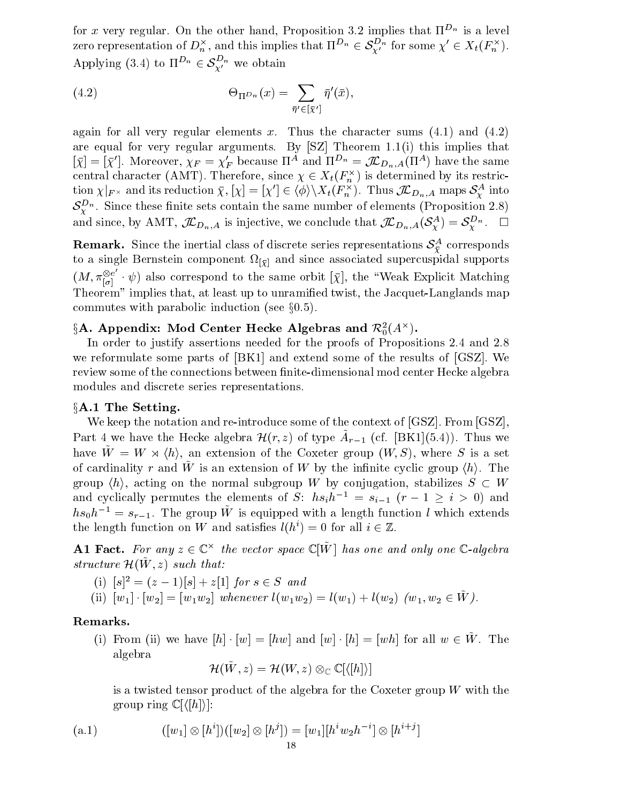for  $x$  very regular. On the other hand, Proposition 5.2 implies that II  $^\circ$  is a level for x very regular. On the other hand, Proposition 3.2 implies that  $\Pi^{D_n}$  is a level<br>zero representation of  $D_n^\times$ , and this implies that  $\Pi^{D_n}\in \mathcal S_{\mathbf{Y}'}^{D_n}$  for some  $\chi'\in X_t(F_n^\times).$ for x very regular. On the other hand, Proposition<br>zero representation of  $D_n^{\times}$ , and this implies that  $\Pi$ <br>Applying (3.4) to  $\Pi^{D_n} \in \mathcal{S}_{Y'}^{D_n}$  we obtain

(4.2) 
$$
\Theta_{\Pi^{D_n}}(x) = \sum_{\bar{\eta}' \in [\bar{\chi}']} \bar{\eta}'(\bar{x}),
$$

again for all very regular elements x. Thus the character sums  $(4.1)$  and  $(4.2)$ are equal for very regular arguments. By [SZ] Theorem 1.1(i) this implies that  $[\chi]=[\chi]$ . Moreover,  $\chi_F=\chi_F$  because  $\Pi^{\sim}$  and  $\Pi^{\sim}{}^n=\mathcal{J}\mathcal{L}_{D_n,A}(\Pi^{\sim})$  have the same central character (AMT). Therefore, since  $\chi \in \Lambda_t(r_n^\times)$  is determined by its restriction  $\chi_{|F^{\times}}$  and its reduction  $\chi, |\chi| = |\chi| \in \langle \varphi \rangle \setminus \Lambda_t(F_n)$ . Thus  $J \mathcal{L} D_{n,A}$  maps  $S_Y^{\times}$  into Moreover,  $\chi_F = \chi'_F$  because  $\Pi^A$  and  $\Pi^{D_n} = \mathcal{J\!L}_{D_n,A}$ <br>aracter (AMT). Therefore, since  $\chi \in X_t(F_n^{\times})$  is deter<br>and its reduction  $\bar{\chi}, |\chi| = |\chi'| \in \langle \phi \rangle \backslash X_t(F_n^{\times})$ . Thus  $\mathcal{S}_{\mathbf{Y}}^{-n}$  . Since these finite sets contain the same number of elements (Proposition 2.8) and since, by AMT,  $\mathcal{JL}_{D_n,A}$  is injective, we conclude that  $\mathcal{JL}_{D_n,A}(\delta_i^{\bullet\bullet}) = \delta_i^{\bullet\bullet}$ .

**Remark.** Since the inertial class of discrete series representations  $\sigma_{\tilde{Y}}$  corresponds to a single Bernstein component component  $\{Y\}$  and supports which component supports which contracts the supports  $(M, \pi_{\lceil \sigma \rceil}^{\otimes e} \cdot \psi)$  also correspond to the same orbit  $[\bar{\chi}],$  the "Weak Explicit Matching Theorem" implies that, at least up to unramied twist, the Jacquet-Langlands map commutes with parabolic induction (see  $\S 0.5$ ).

# $3\mathbf{A}$ . Appendix: Mod Center Hecke Algebras and  $\mathcal{K}_0^{\pi}(A^{\wedge})$ .

In order to justify assertions needed for the proofs of Propositions 2.4 and 2.8 we reformulate some parts of [BK1] and extend some of the results of [GSZ]. We review some of the connections between finite-dimensional mod center Hecke algebra modules and discrete series representations.

#### $§A.1$  The Setting.

We keep the notation and re-introduce some of the context of [GSZ]. From [GSZ] Part 4 we have the Hecke algebra  $\mathcal{H}(r,z)$  of type  $A_{r=1}$  (cf. [BN1](5.4)). Thus we have  $\tilde{W} = W \rtimes \langle h \rangle$ , an extension of the Coxeter group  $(W, S)$ , where S is a set of cardinality  $r$  and  $w$  is an extension of  $w$  by the infinite cyclic group  $\langle n \rangle$ . The group  $\langle h \rangle$ , acting on the normal subgroup W by conjugation, stabilizes  $S \subset W$ and cyclically permutes the elements of S:  $hs_i h^{-1} = s_{i-1} (r - 1 \ge i > 0)$  and  $ns_0n_z = s_{r-1}$ . The group W is equipped with a length function l which extends the length function on W and satisfies  $l(h^i) = 0$  for all  $i \in \mathbb{Z}$ .

 ${\bf A1}$  fact. For any  $z \in {\mathbb C}^{\times}$  the vector space  ${\mathbb C}$  on and one and only one  ${\mathbb C}$ -algebra structure  $\pi(w, z)$  such that:

- (i)  $|s|^2 = (z-1)|s| + z[1]$  for  $s \in S$  and
- (ii)  $|w_1| \cdot |w_2| = |w_1w_2|$  whenever  $l(w_1w_2) = l(w_1) + l(w_2)$   $|w_1, w_2 \in W$  ).

# Remarks.

(i) From (ii) we have  $[h] \cdot [w] = [hw]$  and  $[w] \cdot [h] = [wh]$  for all  $w \in \tilde{W}$ . The algebra

 $\pi(W, z) = \pi(W, z) \otimes_{\mathbb{C}} \mathbb{C}[\langle |W| \rangle]$ 

is a twisted tensor product of the algebra for the Coxeter group  $W$  with the group ring  $\mathbb{C}[\langle h \rangle]:$ 

(a.1) 
$$
([w_1] \otimes [h^i])([w_2] \otimes [h^j]) = [w_1][h^iw_2h^{-i}] \otimes [h^{i+j}]
$$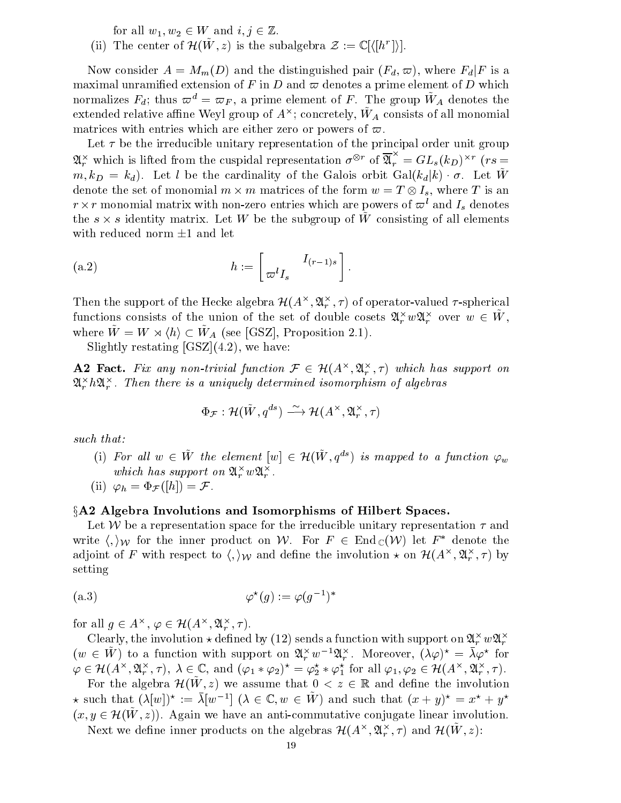for all  $w_1, w_2 \in W$  and  $i, j \in \mathbb{Z}$ .

(ii) The center of  $H(W, z)$  is the subalgebra  $\mathcal{Z} := \cup \{ (h \; | \; h \; | \; \}$ .

Now consider  $A = M_m(D)$  and the distinguished pair  $(F_d, \varpi)$ , where  $F_d|F$  is a maximal unramified extension of F in D and  $\varpi$  denotes a prime element of D which normalizes  $r_d$ ; thus  $\omega^{\perp} = \omega_F$ , a prime element of F . The group  $w_A$  denotes the extended relative alline (weyl group of  $A^{++}$ ; concretely,  $W_A$  consists of all monomial matrices with entries which are either zero or powers of  $\varpi$ .

Let  $\tau$  be the irreducible unitary representation of the principal order unit group  $\mathfrak{A}_r^{\times}$  which is lifted from the cuspidal representation  $\sigma^{\otimes r}$  of  $\mathfrak{A}_r^{\cap} = GL_s(k_D)^{\times r}$  ( $rs = 0$  $m, k_D = k_d$ ). Let l be the cardinality of the Galois orbit  $Gal(k_d|k) \cdot \sigma$ . Let  $\tilde{W}$ denote the set of monomial  $m \times m$  matrices of the form  $w = I \otimes I_s$ , where T is an  $r \times r$  monomial matrix with non-zero entries which are powers of  $\varpi^*$  and  $I_s$  denotes the  $s \times s$  identity matrix. Let  $W$  be the subgroup of  $W$  consisting of all elements with reduced norm  $\pm 1$  and let

(a.2) 
$$
h := \begin{bmatrix} I_{(r-1)s} \\ \varpi^l I_s \end{bmatrix}.
$$

Then the support of the Hecke algebra  $\mathcal{H}(A^\wedge, \mathcal{U}_r^\wedge, \tau)$  of operator-valued  $\tau$ -spherical functions consists of the union of the set of double cosets  $\alpha_r^+ w \alpha_r^+$  over  $w \in W$ , Then the support of the Hecke algeb<br>functions consists of the union of t<br>where  $\tilde{W} = W \rtimes \langle h \rangle \subset \tilde{W}_4$  (see [GS] where  $\tilde{W} = W \rtimes \langle h \rangle \subset \tilde{W}_A$  (see [GSZ], Proposition 2.1).

Slightly restating  $[GSZ](4.2)$ , we have:

**A2 Fact.** Fix any non-trivial function  $\mathcal{F} \in \mathcal{H}(A^{\wedge}, \mathcal{X}_r^{\wedge}, T)$  which has support on  $\mathcal{A}_r$  is  $\mathcal{A}_r$  . Then there is a uniquely determined isomorphism of algebras *i* uniquely determined isomorphism<br> $\Phi_{\mathcal{F}} : \mathcal{H}(\tilde{W}, q^{ds}) \xrightarrow{\sim} \mathcal{H}(A^{\times}, \mathfrak{A}_{r}^{\times}, \tau)$ 

$$
\Phi_{\mathcal{F}}: \mathcal{H}(\tilde{W}, q^{ds}) \stackrel{\sim}{\longrightarrow} \mathcal{H}(A^{\times}, \mathfrak{A}_r^{\times}, \tau)
$$

such that:

(i) For all  $w \in \tilde{W}$  the element  $[w] \in \mathcal{H}(\tilde{W}, q^{ds})$  is mapped to a function  $\varphi_w$ which has support on  $\mathcal{A}_r$  w $\mathcal{A}_r$ .

(ii) 
$$
\varphi_h = \Phi_{\mathcal{F}}([h]) = \mathcal{F}
$$
.

# §A2 Algebra Involutions and Isomorphisms of Hilbert Spaces.

Let W be a representation space for the irreducible unitary representation  $\tau$  and write  $\langle , \rangle_{\mathcal{W}}$  for the inner product on W. For  $F \in \text{End}_{\mathbb{C}} (\mathcal{W})$  let  $F^*$  denote the adjoint of F with respect to  $\langle , \rangle_\mathcal{W}$  and define the involution  $\star$  on  $\mathcal{H}(A^\smallfrown, \mathfrak{A}^\smallfrown_r, \tau)$  by setting

(a.3) 
$$
\varphi^*(g) := \varphi(g^{-1})^*
$$
  
for all  $g \in A^\times$ ,  $\varphi \in \mathcal{H}(A^\times, \mathfrak{A}_r^\times, \tau)$ .

Clearly, the involution  $\star$  defined by (12) sends a function with support on  $\alpha_r^+ w \alpha_r^+$  $(w \in \tilde{W})$  to a function with support on  $\mathfrak{A}_r^{\times}w^{-1}\mathfrak{A}_r^{\times}$ . Moreover,  $(\lambda \varphi)^{\star} = \bar{\lambda} \varphi^{\star}$  for Clearly, the involution  $\star$  defined by (12) sends a function with support on  $\mathfrak{A}_{r}^{\times} w \mathfrak{A}_{r}^{\times}$ <br>  $(w \in \tilde{W})$  to a function with support on  $\mathfrak{A}_{r}^{\times} w^{-1} \mathfrak{A}_{r}^{\times}$ . Moreover,  $(\lambda \varphi)^{\star} = \overline{\lambda} \varphi^{\star}$   $(\varphi, \varphi, \pi), \lambda \in \mathbb{C}, \text{ and } (\varphi_1 * \varphi_2)^{\wedge} = \varphi_2^* * \varphi_1^* \text{ for all } \varphi_1, \varphi_2 \in \mathcal{H}(A^{\wedge}, \mathcal{A}_r^{\wedge}, \tau).$ 

For the algebra  $\mathcal{H}(\tilde{W}, z)$  we assume that  $0 \leq z \in \mathbb{R}$  and define the involution  $\star$  such that  $(\lambda |w|)$ ?  $:= \lambda |w|$   $\vdash$   $(\lambda \in \mathbb{C}, w \in W)$  and such that  $(x + y)$   $= x^2 + y^2$ For the algebra  $\mathcal{H}(W, z)$  we assume that  $0 < z \in \mathbb{R}$  and define the involution  $\star$  such that  $(\lambda[w])^* := \overline{\lambda}[w^{-1}]$   $(\lambda \in \mathbb{C}, w \in \tilde{W})$  and such that  $(x + y)^* = x^* + y^*$ <br> $(x, y \in \mathcal{H}(\tilde{W}, z))$ . Again we have an anti-commu

ivext we define inner products on the algebras  $\mathcal{H}(A^\wedge, \mathcal{U}_r^-, \mathcal{I})$  and  $\mathcal{H}(W, \mathcal{Z})$ :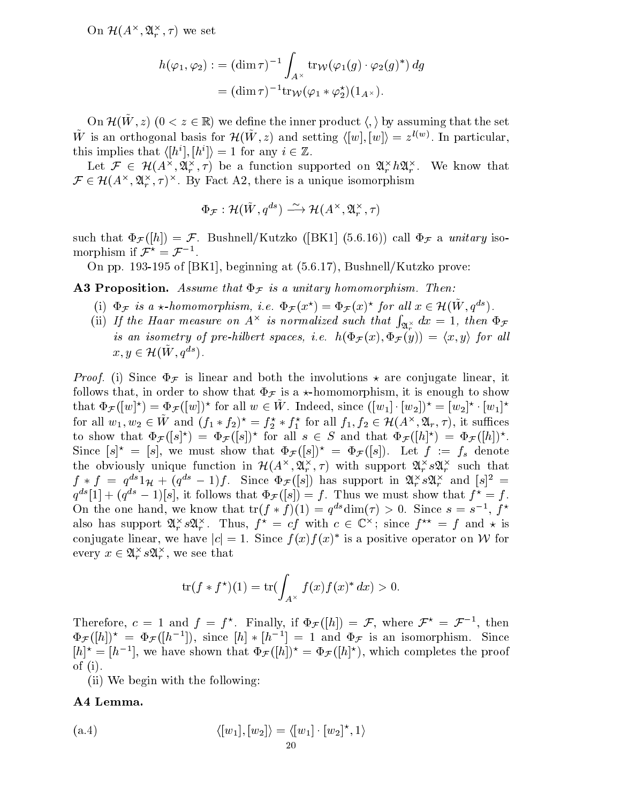On  $\mathcal{H}(A^{\sim}, \mathcal{U}_r^{\sim}, \tau)$  we set

$$
h(\varphi_1, \varphi_2) := (\dim \tau)^{-1} \int_{A^{\times}} \text{tr}_{\mathcal{W}}(\varphi_1(g) \cdot \varphi_2(g)^*) dg
$$
  
= 
$$
(\dim \tau)^{-1} \text{tr}_{\mathcal{W}}(\varphi_1 * \varphi_2^*) (1_{A^{\times}}).
$$

On  $\pi(w, z)$  ( $0 \leq z \in \mathbb{R}$ ) we define the inner product  $\langle , \rangle$  by assuming that the set W is an orthogonal basis for  $\mathcal{H}(W, z)$  and setting  $\langle |w|, |w| \rangle = z^{\gamma + \gamma}$ . In particular, this implies that  $\langle [h^*], [h^*] \rangle = 1$  for any  $i \in \mathbb{Z}$ .

Let  $\mathcal{F} \in \mathcal{H}(A^\wedge, \mathcal{U}_r^\wedge, \tau)$  be a function supported on  $\mathcal{U}_r^\wedge n \mathcal{U}_r^\wedge$ . We know that  $\mathcal{F} \in \mathcal{H}(A^\wedge, \mathcal{U}_r^\wedge, \tau)^\wedge$ . By ract A2, there is a unique isomorphism is implies that  $\langle [I]$ <br>Let  $\mathcal{F} \in \mathcal{H}(A^{\times})$ <br> $\in \mathcal{H}(A^{\times}, \mathfrak{A}^{\times}, \tau)^{\times}$ Fact A2, there is a unique isomorp<br> $\Phi_{\mathcal{F}} : \mathcal{H}(\tilde{W}, q^{ds}) \longrightarrow \mathcal{H}(A^{\times}, \mathfrak{A}_{r}^{\times}, \tau)$ 

$$
\Phi_{\boldsymbol{\mathcal{F}}}: \mathcal{H}(\tilde{W}, q^{ds}) \stackrel{\sim}{\longrightarrow} \mathcal{H}(A^{\times}, \mathfrak{A}_{r}^{\times}, \tau)
$$

such that  $\Phi_{\mathcal{F}}([h]) = \mathcal{F}$ . Bushnell/Kutzko ([BK1] (5.6.16)) call  $\Phi_{\mathcal{F}}$  a unitary isomorphism if  $\mathcal{F}^{\circ} \equiv \mathcal{F}^{-1}$ .

On pp. 193-195 of [BK1], beginning at (5.6.17), Bushnell/Kutzko prove:

**A3 Proposition.** Assume that  $\Phi_{\mathcal{F}}$  is a unitary homomorphism. Then:

- **Proposition.** Assume that  $\Phi_{\mathcal{F}}$  is a unitary homomorphism. Then:<br>
(i)  $\Phi_{\mathcal{F}}$  is a  $\star$ -homomorphism, i.e.  $\Phi_{\mathcal{F}}(x^{\star}) = \Phi_{\mathcal{F}}(x)^{\star}$  for all  $x \in \mathcal{H}(\tilde{W}, q^{ds})$ .
- (ii) If the Haar measure on  $A^{\times}$  is normalized such that  $\int_{\mathfrak{A}_r^{\times}} dx = 1$ , then  $\Phi_{\mathcal{F}}$ is an isometry of pre-hilbert spaces, i.e.  $h(\Psi_{\mathcal{F}}(x), \Psi_{\mathcal{F}}(y)) = \langle x, y \rangle$  for all If the Haar measure of<br>is an isometry of pre-<br> $x, y \in \mathcal{H}(\tilde{W}, q^{ds}).$

*Proof.* (i) Since  $\Phi_{\mathcal{F}}$  is linear and both the involutions  $\star$  are conjugate linear, it follows that, in order to show that  $\Phi_{\mathcal{F}}$  is a  $\star$ -homomorphism, it is enough to show that  $\Psi_{\mathcal{F}}(|w|) = \Psi_{\mathcal{F}}(|w|)$  for all  $w \in W$ . Indeed, since  $(|w_1| \cdot |w_2|) = |w_2| \cdot |w_1|$ follows that, in order to show that  $\Phi_{\mathcal{F}}$  is a  $\star$ -homomorphism, it is enough to show<br>that  $\Phi_{\mathcal{F}}([w]^{\star}) = \Phi_{\mathcal{F}}([w])^{\star}$  for all  $w \in \tilde{W}$ . Indeed, since  $([w_1] \cdot [w_2])^{\star} = [w_2]^{\star} \cdot [w_1]^{\star}$ <br>for all  $w_1, w_$ to show that  $\Psi_{\mathcal{F}}(|s|) = \Psi_{\mathcal{F}}(|s|)$  for all  $s \in S$  and that  $\Psi_{\mathcal{F}}(|h|) = \Psi_{\mathcal{F}}(|h|)$ . Since  $[s]^* = [s]$ , we must show that  $\Phi_{\mathcal{F}}([s])^* = \Phi_{\mathcal{F}}([s])$ . Let  $f := f_s$  denote the obviously unique function in  $\mathcal{H}(A^\wedge, \mathfrak{A}_r^\wedge, \tau)$  with support  $\mathfrak{A}_r^\wedge\, s\mathfrak{A}_r^\wedge\,$  such that  $f * f = q^{2} \mathbb{1}_{\mathcal{H}} + (q^{2} - 1) \mathbb{1}$ . Since  $\Psi_{\mathcal{F}}([s])$  has support in  $\mathcal{H}_r$  s $\mathcal{H}_r$  and  $[s] = 1$  $q^{n}$ [1]  $+$  ( $q^{n}$  = 1)[s], it follows that  $\Psi_{\mathcal{F}}(|s|) = f$ . Thus we must show that  $f^{n} = f$ . On the one hand, we know that  $tr(f * f)(1) = q^{n}$  dim $(f) > 0$ . Since  $s = s^{-1}$ , f also has support  $\mathcal{A}_r$   $s\mathcal{A}_r$ . Thus,  $f = c$  with  $c \in \mathbb{C}$ ; since  $f^m = f$  and  $\star$  is conjugate linear, we have  $|c| = 1$ . Since  $f(x)f(x)$  is a positive operator on W for every  $x \in \mathcal{X}_r$  s $\mathcal{X}_r$ , we see that

$$
\operatorname{tr}(f * f^\star)(1) = \operatorname{tr}(\int_{A^\times} f(x)f(x)^* dx) > 0.
$$

Therefore,  $c = 1$  and  $f = f^{\,\,\gamma}$ . Finally, if  $\Psi_{\mathcal{F}}(|h|) = \mathcal{F}$ , where  $\mathcal{F}^{\,\,\gamma} = \mathcal{F}^{-\,\gamma}$ , then  $\Psi_{\mathcal{F}}(|h|)$  =  $\Psi_{\mathcal{F}}(|h|^{-}|)$ , since  $|h| * |h|^{-} = 1$  and  $\Psi_{\mathcal{F}}$  is an isomorphism. Since  $|h|^2 = |h^-|$ , we have shown that  $\Psi_{\mathcal{F}}(|h|) = \Psi_{\mathcal{F}}(|h|^2)$ , which completes the proof of (i).

(ii) We begin with the following:

# A4 Lemma.

$$
\langle [w_1], [w_2] \rangle = \langle [w_1] \cdot [w_2]^*, 1 \rangle
$$
  
20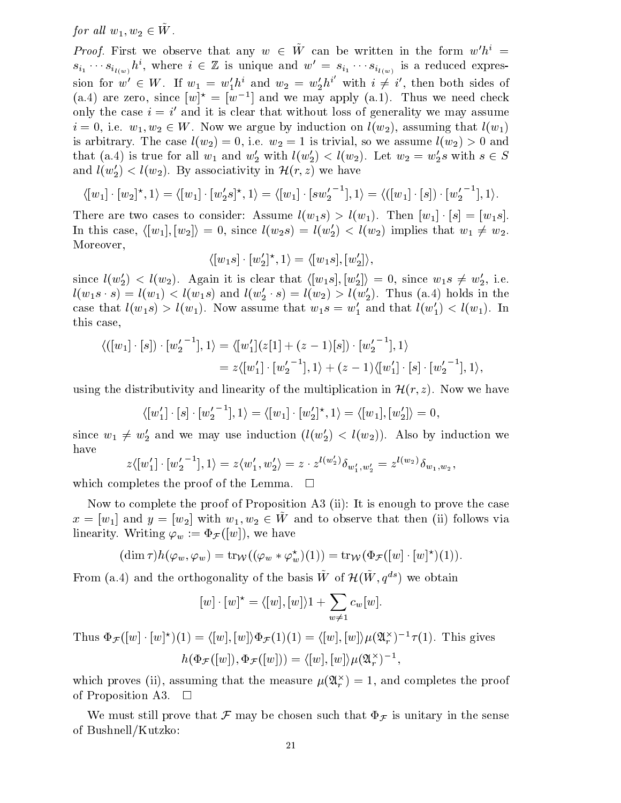for all  $w_1, w_2 \in W$ .

*Proof.* First we observe that any  $w \in \tilde{W}$  can be written in the form  $w'h^{i} =$  $s_{i_1} \cdots s_{i_{l(w)}} n$ , where  $i \in \mathbb{Z}$  is unique and  $w = s_{i_1} \cdots s_{i_{l(w)}}$  is a reduced expression for  $w' \in W$ . If  $w_1 = w'_1 h^i$  and  $w_2 = w'_2 h^i$  with  $i \neq i'$ , then both sides of (a.4) are zero, since  $|w|^{\gamma} = |w|^{\gamma}$  and we may apply (a.1). Thus we need check only the case  $i \equiv i$  and it is clear that without loss of generality we may assume  $i = 0, 1.$ e.  $w_1, w_2 \in W$ . Now we argue by induction on  $\iota(w_2)$ , assuming that  $\iota(w_1)$ is arbitrary. The case  $\{v_1,v_2\}$  with  $\{w_1,v_2\}$  is trivial, so we assume that we assume like  $\{v_1,v_2\}$  , we are assumed that (a.4) is true for all  $w_1$  and  $w_2$  with  $l(w_2) \leq l(w_2)$ . Let  $w_2 = w_2$ s with  $s \in S$ and  $l(w_2') < l(w_2)$ . By associativity in  $\mathcal{H}(r, z)$  we have

$$
\langle [w_1] \cdot [w_2]^{\star}, 1 \rangle = \langle [w_1] \cdot [w_2's]^{\star}, 1 \rangle = \langle [w_1] \cdot [sw_2^{\prime -1}], 1 \rangle = \langle ([w_1] \cdot [s]) \cdot [w_2^{\prime -1}], 1 \rangle.
$$

There are two cases to consider: Assume  $l(w_1s) > l(w_1)$ . Then  $[w_1] \cdot [s] = [w_1s]$ . In this case,  $\langle [w_1],[w_2]\rangle = 0$ , since  $l(w_2s) = l(w_2') < l(w_2)$  implies that  $w_1 \neq w_2$ . Moreover,

$$
\langle [w_1s] \cdot [w_2']^{\star}, 1 \rangle = \langle [w_1s], [w_2'] \rangle,
$$

since  $l(w_2') < l(w_2)$ . Again it is clear that  $\langle [w_1s], [w_2'] \rangle = 0$ , since  $w_1s \neq w_2'$ , i.e.  $l(w_1s \cdot s) = l(w_1) \leq l(w_1s)$  and  $l(w_2 \cdot s) = l(w_2) > l(w_2)$ . Thus (a.4) holds in the case that  $l(w_1s) > l(w_1)$ . Now assume that  $w_1s = w_1$  and that  $l(w_1) < l(w_1)$ . In this case,

$$
\langle ([w_1] \cdot [s]) \cdot [w_2^{\prime -1}], 1 \rangle = \langle [w_1^{\prime}](z[1] + (z-1)[s]) \cdot [w_2^{\prime -1}], 1 \rangle
$$
  
=  $z \langle [w_1^{\prime}] \cdot [w_2^{\prime -1}], 1 \rangle + (z-1) \langle [w_1^{\prime}] \cdot [s] \cdot [w_2^{\prime -1}], 1 \rangle,$ 

using the distributivity and linearity of the multiplication in  $\mathcal{H}(r, z)$ . Now we have

$$
\langle [w'_1] \cdot [s] \cdot [w'_2]^{-1}], 1 \rangle = \langle [w_1] \cdot [w'_2]^\star, 1 \rangle = \langle [w_1], [w'_2] \rangle = 0,
$$

since  $w_1 \neq w_2$  and we may use induction  $(\iota(w_2)) < \iota(w_2))$ . Also by induction we have

$$
z \langle [w'_1] \cdot [w'_2]^{-1}], 1 \rangle = z \langle w'_1, w'_2 \rangle = z \cdot z^{l(w'_2)} \delta_{w'_1, w'_2} = z^{l(w_2)} \delta_{w_1, w_2},
$$

which completes the proof of the Lemma. **TERRITORY** 

Now to complete the proof of Proposition A3 (ii): It is enough to prove the case  $x = |w_1|$  and  $y = |w_2|$  with  $w_1, w_2 \in W$  and to observe that then (ii) follows via linearity. Writing  $\varphi_w := \Phi_{\mathcal{F}}([w])$ , we have

$$
(\dim \tau)h(\varphi_w, \varphi_w) = \operatorname{tr}_{\mathcal{W}}((\varphi_w * \varphi_w^*)(1)) = \operatorname{tr}_{\mathcal{W}}(\Phi_{\mathcal{F}}([w] \cdot [w]^*) (1)).
$$

From (a.4) and the orthogonality of the basis  $\tilde{W}$  of  $\mathcal{H}(\tilde{W}, q^{ds})$  we obtain

$$
[w] \cdot [w]^* = \langle [w], [w] \rangle 1 + \sum_{w \neq 1} c_w[w].
$$

Thus  $\Psi_{\mathcal{F}}([w] \cdot [w]) (1) = \langle [w], [w] \rangle \Psi_{\mathcal{F}}(1) (1) = \langle [w], [w] \rangle \mu(\mathcal{A}_r)$  -  $\tau(1)$ . This gives  $h(\Psi_{\mathcal{F}}([w]), \Psi_{\mathcal{F}}([w])) = \langle [w], [w] \rangle \mu(\mathfrak{A}_r)$ ,

which proves (ii), assuming that the measure  $\mu(\mathbf{x}_r^{\top}) = 1$ , and completes the proof of Proposition A3.  $\Box$ 

We must still prove that  $\mathcal F$  may be chosen such that  $\Phi_{\mathcal F}$  is unitary in the sense of Bushnell/Kutzko: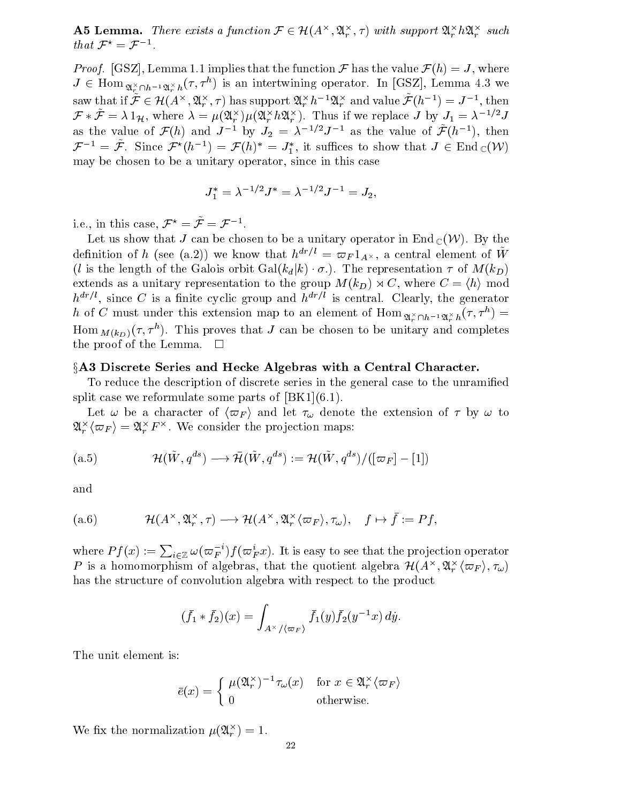**A5 Lemma.** There exists a function  $\mathcal{F} \in \mathcal{H}(A^{\times}, \mathfrak{A}_{r}^{\times}, \tau)$  with support  $\mathfrak{A}_{r}^{\times}h\mathfrak{A}_{r}^{\times}$  such that  $\mathcal{F}^{\star} = \mathcal{F}^{-1}$ .

*Proof.* [GSZ], Lemma 1.1 implies that the function  $\mathcal F$  has the value  $\mathcal F(h) = J$ , where  $J \in \text{Hom}_{\mathfrak{A}_r^{\times} \cap h^{-1}\mathfrak{A}_r^{\times}h}(\tau, \tau^{\cdot \cdot})$  is an intertwining operator. In [GSZ], Lemma 4.3 we Proof. [GSZ], Lemma 1.1 implies<br>  $J \in$  Hom  $\sum_{\alpha \nmid \alpha} \gamma_{h^{-1}\alpha \nmid \alpha} (\tau, \tau^h)$  is<br>
saw that if  $\tilde{\mathcal{F}} \in \mathcal{H}(A^\times, \mathfrak{A}_\alpha^\times, \tau)$  $x_i, x_j, \tau$  has support  $x_i \hat{n}$   $\rightarrow x_i$  and value  $\mathcal{F}(n-1) = J^{-1}$ , then  $\mathcal{F} * \mathcal{F} = \lambda 1_{\mathcal{H}}$ , where  $\lambda = \mu(\mathcal{A}_r^{\cap})\mu(\mathcal{A}_r^{\cap} \mu \mathcal{A}_r^{\cap})$ . Thus if we replace J by  $J_1 = \lambda^{-1/2}J$ as the value of  $\mathcal{F}(h)$  and  $J=$  by  $J_2 = \lambda^{-1}J^{-1}$  as the value of  $\mathcal{F}(h^{-1})$ , then  $\mathcal{F}^{-1} = \mathcal{F}$ . Since  $\mathcal{F}^{-}(h^{-1}) = \mathcal{F}(h) = J_1$ , it sumes to show that  $J \in \text{End}_{\mathbb{C}}(V)$ may be chosen to be a unitary operator, since in this case

$$
J_1^*=\lambda^{-1/2}J^*=\lambda^{-1/2}J^{-1}=J_2,
$$

i.e., in this case,  $\mathcal{F}^{\star} = \tilde{\mathcal{F}} = \mathcal{F}^{-1}$ .

Let us show that J can be chosen to be a unitary operator in End  $_{\mathbb{C}}$  (VV). By the definition of h (see (a.2)) we know that  $h^{m+r} \equiv \omega_F 1_{A} \times$ , a central element of W (*l* is the length of the Galois orbit  $Gal(k_d|k) \cdot \sigma$ .). The representation  $\tau$  of  $M(k_D)$ extends as a unitary representation to the group  $M(k_D) \rtimes C$ , where  $C = \langle h \rangle$  mod  $h^{dr/l}$ , since C is a finite cyclic group and  $h^{dr/l}$  is central. Clearly, the generator h of C must under this extension map to an element of  $\hom_{\mathfrak{A}_r^{\times} \cap h^{-1}\mathfrak{A}_r^{\times}h}(7,T^*)$  $\min_{M(k_D)}(\tau, \tau^{\dots}).$  This proves that J can be chosen to be unitary and completes the proof of the Lemma.  $\square$ 

# §A3 Discrete Series and Hecke Algebras with a Central Character.

To reduce the description of discrete series in the general case to the unramied split case we reformulate some parts of  $[BK1](6.1)$ .

Let  $\omega$  be a character of  $\langle \varpi_F \rangle$  and let  $\tau_{\omega}$  denote the extension of  $\tau$  by  $\omega$  to  $\langle \omega_F \rangle = \omega_r^{\perp} F$ . We consider the projection maps:

(a.5) 
$$
\mathcal{H}(\tilde{W}, q^{ds}) \longrightarrow \bar{\mathcal{H}}(\tilde{W}, q^{ds}) := \mathcal{H}(\tilde{W}, q^{ds}) / ([\varpi_F] - [1])
$$

and

and  
(a.6) 
$$
\mathcal{H}(A^{\times}, \mathfrak{A}_r^{\times}, \tau) \longrightarrow \mathcal{H}(A^{\times}, \mathfrak{A}_r^{\times} \langle \varpi_F \rangle, \tau_{\omega}), \quad f \mapsto \bar{f} := Pf,
$$

where  $Pf(x):=\sum_{i\in\mathbb{Z}}\omega(\varpi_{F}^{-i})f(\varpi_{F}^{i}x).$  It is easy to see that the projection operator  $P$  is a nomomorphism of algebras, that the quotient algebra  $\mathcal{H}(A^\sim, \mathcal{X}_r^\sim \langle \mathcal{W}_F \rangle, \mathcal{W}_\nu)$ has the structure of convolution algebra with respect to the product

$$
(\bar f_1 * \bar f_2)(x) = \int_{A^\times/\langle \varpi_F \rangle} \bar f_1(y) \bar f_2(y^{-1}x) \, dy.
$$

The unit element is:

$$
\bar{e}(x) = \begin{cases} \mu(\mathfrak{A}_r^\times)^{-1} \tau_\omega(x) & \text{for } x \in \mathfrak{A}_r^\times \langle \varpi_F \rangle \\ 0 & \text{otherwise.} \end{cases}
$$

we ux the normalization  $\mu(\mathcal{X}_r) = 1$ .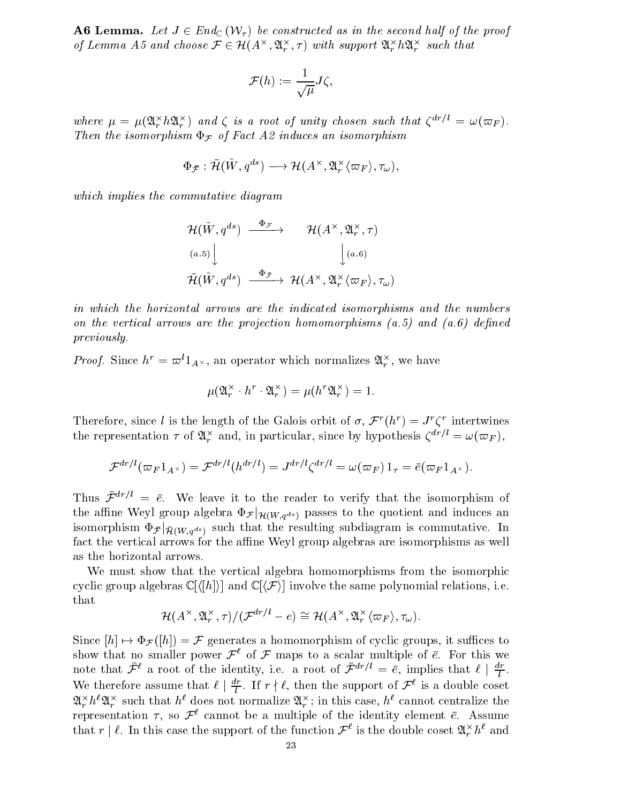**A6 Lemma.** Let  $J \in \text{Ena}_{\mathbb{C}}$  (VV<sub>T</sub>) be constructed as in the second half of the proof **A6 Lemma.** Let  $J \in End_{\mathbb{C}}(\mathcal{W}_{\tau})$  be constructed Lemma A5 and choose  $\mathcal{F} \in \mathcal{H}(A^{\times}, \mathfrak{A}^{\times}, \tau)$  $\mathcal{A}_r^{\infty},$  (1) with support  $\mathcal{A}_r^{\infty} n \mathcal{A}_r^{\infty}$  such that

$$
\mathcal{F}(h):=\frac{1}{\sqrt{\mu}}J\zeta,
$$

where  $\mu = \mu(\mathbf{x}_r, n\mathbf{x}_r)$  and  $\zeta$  is a root of unity chosen such that  $\zeta$   $\gamma = \omega(\omega_F)$ . Then the isomorphism  $F$  of  $F$ atism  $F$  of  $F$ atism  $F$ 

$$
m \Phi_{\mathcal{F}} \text{ of Fact } A2 \text{ induces an isomorphism}
$$
  

$$
\Phi_{\bar{\mathcal{F}}} : \bar{\mathcal{H}}(\tilde{W}, q^{ds}) \longrightarrow \mathcal{H}(A^{\times}, \mathfrak{A}_{r}^{\times} \langle \varpi_{F} \rangle, \tau_{\omega}),
$$

which implies the commutative diagram

$$
\mathcal{H}(\tilde{W}, q^{ds}) \xrightarrow{\Phi_{\mathcal{F}}} \mathcal{H}(A^{\times}, \mathfrak{A}_{r}^{\times}, \tau)
$$
\n
$$
\downarrow^{(a.5)} \downarrow^{(a.6)}
$$
\n
$$
\mathcal{H}(\tilde{W}, q^{ds}) \xrightarrow{\Phi_{\tilde{\mathcal{F}}}} \mathcal{H}(A^{\times}, \mathfrak{A}_{r}^{\times} \langle \varpi_{F} \rangle, \tau_{\omega})
$$

in which the horizontal arrows are the indicated isomorphisms and the numbers on the vertical arrows are the projection homomorphisms  $(a.5)$  and  $(a.6)$  defined previously.

*Proof.* Since  $n^* = \varpi^* 1_{A^{\times}}$ , an operator which normalizes  $\mathcal{A}_r^{\times}$ , we have

$$
\mu(\mathfrak{A}_r^\times \cdot h^r \cdot \mathfrak{A}_r^\times) = \mu(h^r \mathfrak{A}_r^\times) = 1.
$$

**Therefore, since l is the length of the Galois orbit of**  $\sigma$ **,**  $\mathcal{F}(h') = J'$  **contributions** the representation  $\tau$  or  $\mathfrak{A}_r^+$  and, in particular, since by hypothesis  $\zeta^{+,\tau} \equiv \omega(\varpi_F)$ ,

$$
\mathcal{F}^{dr/l}(\varpi_F 1_{A^\times})=\mathcal{F}^{dr/l}(h^{dr/l})=J^{dr/l}\zeta^{dr/l}=\omega(\varpi_F)\,1_\tau=\bar{e}(\varpi_F 1_{A^\times}).
$$

Thus  $\bar{\mathcal{F}}^{dr/l} = \bar{e}$ . We leave it to the reader to verify that the isomorphism of the affine Weyl group algebra  $\Phi_{\mathcal{F}}|_{\mathcal{H}(W,g^{ds})}$  passes to the quotient and induces an isomorphism  $\Phi_{\bar{\mathcal{F}}} |_{\bar{\mathcal{H}}(W, q^{ds})}$  such that the resulting subdiagram is commutative. In fact the vertical arrows for the affine Weyl group algebras are isomorphisms as well as the horizontal arrows.

We must show that the vertical algebra homomorphisms from the isomorphic cyclic group algebras  $\mathbb{C}[\langle h \rangle]$  and  $\mathbb{C}[\langle \mathcal{F} \rangle]$  involve the same polynomial relations, i.e. that

$$
\mathcal{H}(A^{\times}, \mathfrak{A}_{r}^{\times}, \tau)/(\mathcal{F}^{dr/l} - e) \cong \mathcal{H}(A^{\times}, \mathfrak{A}_{r}^{\times} \langle \varpi_{F} \rangle, \tau_{\omega}).
$$

Since  $[h] \mapsto \Phi_{\mathcal{F}}([h]) = \mathcal{F}$  generates a homomorphism of cyclic groups, it suffices to show that no smaller power  $\mathcal{F}^{\ell}$  of  $\mathcal F$  maps to a scalar multiple of  $\bar{e}$ . For this we note that  $\mathcal{F}^*$  a root of the identity, i.e. a root of  $\mathcal{F}^{*,\prime} = e$ , implies that  $\ell \mid \frac{\tau}{l}$ . We therefore assume that  $\ell \mid \frac{1}{l}$ . If  $r \nmid \ell$ , then the support of  $\mathcal{F}^{\perp}$  is a double coset  $\mathcal{A}_r^+ n \mathcal{A}_r^+$  such that holdes not normalize  $\mathcal{A}_r^+$ ; in this case, has cannot centralize the representation  $\tau$ , so  $\mathcal{F}^{\ell}$  cannot be a multiple of the identity element  $\bar{e}$ . Assume that  $r \mid \ell$ . In this case the support of the function  $\mathcal{F}^*$  is the double coset  $\mathcal{A}_r^* n^*$  and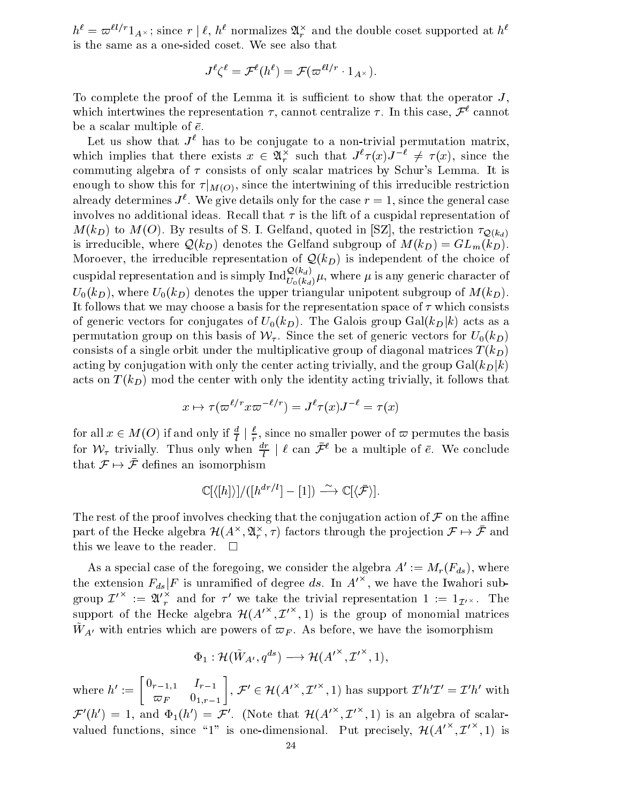$h^* = \varpi^{n+1}A_{\lambda}$ ; since  $r \mid \ell, h^*$  normalizes  $\mathcal{A}_r^*$  and the double coset supported at  $h^*$ is the same as a one-sided coset. We see also that

$$
J^\ell\zeta^\ell=\mathcal F^\ell(h^\ell)=\mathcal F(\varpi^{\ell l/r}\cdot 1_{A^\times}).
$$

To complete the proof of the Lemma it is sufficient to show that the operator  $J$ , which intertwines the representation  $\tau$ , cannot centralize  $\tau$ . In this case,  $\mathcal{F}^{\ell}$  cannot be a scalar multiple of  $\bar{e}$ .

Let us show that  $J^{\ell}$  has to be conjugate to a non-trivial permutation matrix, which implies that there exists  $x \in \mathcal{X}_r^+$  such that  $J^+ \tau(x) J^- \neq \tau(x)$ , since the commuting algebra of  $\tau$  consists of only scalar matrices by Schur's Lemma. It is enough to show this for  $\tau|_{M(O)}$ , since the intertwining of this irreducible restriction already determines  $J$  . We give details only for the case  $r = 1$ , since the general case involves no additional ideas. Recall that  $\tau$  is the lift of a cuspidal representation of  $M(k_D)$  to  $M(O)$ . By results of S. I. Gelfand, quoted in [SZ], the restriction  $\tau_{Q(k_A)}$ is irreducible, where  $\mathcal{Q}(k_D)$  denotes the Gelfand subgroup of  $M(k_D) = GL_m(k_D)$ . Moroever, the irreducible representation of  $\mathcal{Q}(k_D)$  is independent of the choice of cuspidal representation and is simply  ${\rm Ind}_{U_0(k_d)}^{\bigstar,\cdots,\alpha_f} \mu,$  where  $\mu$  is any generic character of  $U_0(k_D)$ , where  $U_0(k_D)$  denotes the upper triangular unipotent subgroup of  $M(k_D)$ . It follows that we may choose a basis for the representation space of  $\tau$  which consists of generic vectors for conjugates of  $U_0(k_D)$ . The Galois group Gal( $k_D|k$ ) acts as a permutation group on this basis of  $\mathcal{W}_{\tau}$ . Since the set of generic vectors for  $U_0(k_D)$ consists of a single orbit under the multiplicative group of diagonal matrices  $T(k_D)$ acting by conjugation with only the center acting trivially, and the group  $Gal(k_D|k)$ acts on  $T(k_D)$  mod the center with only the identity acting trivially, it follows that

$$
x\mapsto \tau(\varpi^{\ell/r}x\varpi^{-\ell/r})=J^\ell\tau(x)J^{-\ell}=\tau(x)
$$

for all  $x \in M(O)$  if and only if  $\frac{1}{l} | \frac{1}{r}$ , since no smaller power of  $\varpi$  permutes the basis for  $\nu_{\tau}$  trivially. Thus only when  $\frac{1}{l}$  |  $\ell$  can  $\mathcal{F}^{\circ}$  be a multiple of e. We conclude that  $\mathcal{F} \mapsto \bar{\mathcal{F}}$  defines an isomorphism somorphism $\mathbb{C}[\langle [h]\rangle]/([h^{dr/l}]-[1]) \stackrel{\sim}{\longrightarrow} \mathbb{C}[\langle \bar{\mathcal{F}} \rangle ].$ 

$$
\mathbb{C}[\langle [h] \rangle] / ([h^{dr/l}] - [1]) \xrightarrow{\sim} \mathbb{C}[\langle \bar{\mathcal{F}} \rangle].
$$

The rest of the proof involves checking that the conjugation action of  $\mathcal F$  on the affine part of the Hecke algebra  $\mathcal{H}(A^\sim,\mathfrak{A}_r^\sim,\tau)$  factors through the projection  $\mathcal{F}\mapsto\mathcal{F}$  and this we leave to the reader.  $\square$ 

As a special case of the foregoing, we consider the algebra  $A' := M_r(F_{ds})$ , where the extension  $F_{ds} | F$  is unramified of degree ds. In  $A^{\prime\prime}$ , we have the Iwahori subgroup  $L^{\infty} := \mathfrak{A'}_r^{\infty}$  and for  $\tau^{\epsilon}$  we take the trivial representation  $1 := 1_{\mathcal{I}^{\epsilon}} \times 1$  The support of the Hecke algebra  $\mathcal{H}(A^{(1)}, L^{(2)}, 1)$  is the group of monomial matrices  $W_A$ <sup>,</sup> with entries which are powers of  $\omega_F$ . As before, we have the isomorphism e powers of  $\varpi_F$ . As before, we had:<br>  $: \mathcal{H}(\tilde{W}_{A'}, q^{ds}) \longrightarrow \mathcal{H}(A'^{\times}, \mathcal{I}'^{\times}, 1)$ 

$$
\Phi_1: \mathcal H(\tilde W_{A'},q^{ds}) \longrightarrow \mathcal H({A'}^\times, {{\mathcal I'}^\times},1),
$$

where  $h' := \begin{bmatrix} 0_{r-1,1} & I_{r-1} \end{bmatrix}$ ,  $\mathcal{F}'$  $\left[ \begin{smallmatrix} \tau-1,1 & I_{r-1} \ \varpi_F & 0_{1,r-1} \end{smallmatrix} \right],\, \mathcal{F}'\in\mathcal{H}^{\mathcal{F}}.$  $(W_{A'}, q^{\infty}) \longrightarrow H(A^{\dagger}, L^{\dagger}, 1),$ <br>  $, \mathcal{F}' \in \mathcal{H}(A'^{\times}, \mathcal{I}'^{\times}, 1)$  has support  $\mathcal{I}'h'\mathcal{I}' = \mathcal{I}'h'$  with  $\mathcal{F}'(h') = 1$ , and  $\Phi_1(h') = \mathcal{F}'$ . (Note that  $\mathcal{H}(A^{(n)}, L^{(n)}, 1)$  is an algebra of scalarvalued functions, since "1" is one-dimensional. Put precisely,  $\mathcal{H}(A^{(0)}, L^{(0)}, 1)$  is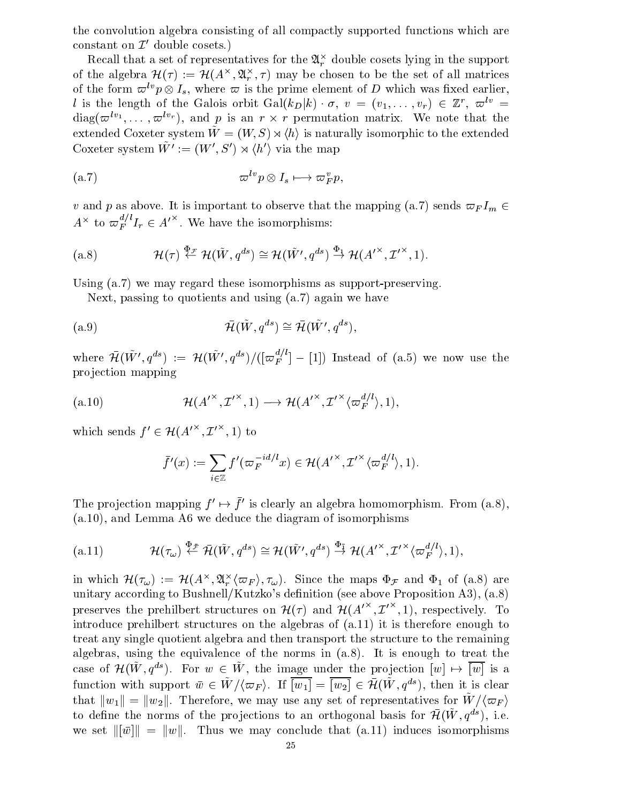the convolution algebra consisting of all compactly supported functions which are constant on  $\mathcal{I}'$  double cosets.)

Recall that a set of representatives for the  $\mathcal{A}_r^\sim$  double cosets lying in the support of the algebra  $\pi(\tau) := \pi(A^\smallfrown, \mathfrak{A}^\smallfrown_r, \tau)$  may be chosen to be the set of all matrices of the form  $\varpi^{+}p\otimes I_{s},$  where  $\varpi$  is the prime element of  $D$  which was fixed earlier, It is the length of the Galois orbit  $Gal(\kappa_D|\kappa) \cdot \sigma, v = (v_1, \ldots, v_r) \in \mathbb{Z}$ ,  $\varpi^{\circ \circ}$  =  $diag(\omega^{++},\dots,\omega^{++})$ , and  $p$  is an  $r\times r$  permutation matrix. We note that the extended Coxeter system  $\tilde{W} = (W, S) \rtimes \langle h \rangle$  is naturally isomorphic to the extended Coxeter system  $\tilde{W}' := (W', S') \rtimes \langle h' \rangle$  via the map

$$
\text{(a.7)} \quad \sigma^{lv} p \otimes I_s \longmapsto \sigma^v_F p,
$$

v and p as above. It is important to observe that the mapping (a.7) sends  $\varpi_F I_m \in$ 

$$
A^{\wedge}
$$
 to  $\overline{\omega}_F^{\wedge} I_r \in A^{\prime\wedge}$ . We have the isomorphisms:  
\n(a.8)  $\mathcal{H}(\tau) \stackrel{\Phi_{\mathcal{F}}}{\leftarrow} \mathcal{H}(\tilde{W}, q^{ds}) \cong \mathcal{H}(\tilde{W'}, q^{ds}) \stackrel{\Phi_1}{\rightarrow} \mathcal{H}(A^{\prime \times}, \mathcal{I}^{\prime \times}, 1).$ 

Using (a.7) we may regard these isomorphisms as support-preserving.

Next, passing to quotients and using (a.7) again we have

$$
\bar{\mathcal{H}}(\tilde{W}, q^{ds}) \cong \bar{\mathcal{H}}(\tilde{W}', q^{ds}),
$$

where  $\mathcal{H}(W', q^{as}) := \mathcal{H}(W', q^{as})/([\varpi_F] [-1])$  Instead of (a.5) we now use the pro jection mapping

projection mapping  
\n(a.10) 
$$
\mathcal{H}(A^{\prime\times}, \mathcal{I}^{\prime\times}, 1) \longrightarrow \mathcal{H}(A^{\prime\times}, \mathcal{I}^{\prime\times} \langle \varpi_F^{d/l} \rangle, 1),
$$
  
\nwhich sends  $f' \in \mathcal{H}(A^{\prime\times}, \mathcal{I}^{\prime\times}, 1)$  to

$$
\mathcal{H}(A^{\prime}^{\times}, \mathcal{I}^{\prime \times}, 1) \text{ to}
$$
  

$$
\bar{f}'(x) := \sum_{i \in \mathbb{Z}} f'(\varpi_F^{-id/l} x) \in \mathcal{H}(A^{\prime \times}, \mathcal{I}^{\prime \times} \langle \varpi_F^{d/l} \rangle, 1).
$$

The projection mapping  $f \mapsto f$  is clearly an algebra homomorphism. From (a.8),

(a.10), and Lemma A6 we deduce the diagram of isomorphisms  
\n(a.11) 
$$
\mathcal{H}(\tau_{\omega}) \stackrel{\Phi_{\mathcal{F}}}{\leftarrow} \bar{\mathcal{H}}(\tilde{W}, q^{ds}) \cong \mathcal{H}(\tilde{W'}, q^{ds}) \stackrel{\Phi_{\tilde{1}}}{\rightarrow} \mathcal{H}(A'^{\times}, \mathcal{I}'^{\times} \langle \varpi_{F}^{d/l} \rangle, 1),
$$

in which  $\mathcal{H}(\tau_\omega) := \mathcal{H}(A^\wedge, \mathcal{A}_r^\wedge \langle \overline{\omega}_F \rangle, \tau_\omega)$ . Since the maps  $\Psi_{\mathcal{F}}$  and  $\Psi_1$  of (a.s) are unitary according to Bushnell/Kutzko's definition (see above Proposition A3), (a.8) preserves the prehilbert structures on  $\mathcal{H}(\tau)$  and  $\mathcal{H}(A^{\prime\prime},L^{\prime},1)$ , respectively. To introduce prehilbert structures on the algebras of (a.11) it is therefore enough to treat any single quotient algebra and then transport the structure to the remaining algebras, using the equivalence of the norms in (a.8). It is enough to treat the case of  $\mathcal{H}(W, q^{\infty})$ . For  $w \in W$ , the image under the projection  $|w| \mapsto |w|$  is a function with support  $w \in W / \langle \varpi_F \rangle$ . If  $|w_1| = |w_2| \in H(W, q^{\infty})$ , then it is clear that  $||w_1|| = ||w_2||$ . Therefore, we may use any set of representatives for  $\tilde{W}/\langle \varpi_F \rangle$ to define the norms of the projections to an orthogonal basis for  $\pi(w, q_-)$ , i.e. we set  $\|\bar{w}\| = \|w\|$ . Thus we may conclude that (a.11) induces isomorphisms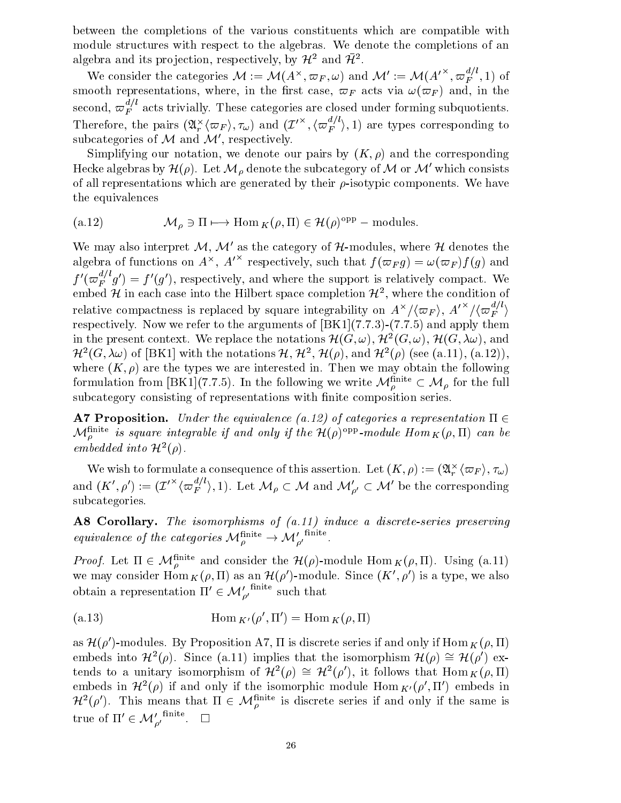between the completions of the various constituents which are compatible with module structures with respect to the algebras. We denote the completions of an algebra and its projection, respectively, by  $\mathcal{H}^-$  and  $\mathcal{H}^-$ .

We consider the categories  $\mathcal{M} := \mathcal{M}(A^\wedge, \varpi_F, \omega)$  and  $\mathcal{M}':= \mathcal{M}(A'^{\wedge}, \varpi_F^{\wedge}, 1)$  of smooth representations, where, in the first case,  $\varpi_F$  acts via  $\omega(\varpi_F)$  and, in the second,  $\varpi_{F}^{+}\:$  acts trivially. These categories are closed under forming subquotients. Therefore, the pairs  $(\mathfrak{A}^{\scriptscriptstyle\wedge}_F(\varpi_F),\tau_\omega)$  and  $(L^{\scriptscriptstyle\wedge\wedge},(\varpi_F^{\scriptscriptstyle\wedge}),1)$  are types corresponding to subcategories of  $M$  and  $M'$ , respectively.

Simplifying our notation, we denote our pairs by  $(K, \rho)$  and the corresponding Hecke algebras by  $\mathcal{H}(\rho)$ . Let  $\mathcal{M}_{\rho}$  denote the subcategory of M or M' which consists of all representations which are generated by their  $\rho$ -isotypic components. We have the equivalences the equivalences<br>
(a.12)  $M_{\rho} \ni \Pi \longmapsto \text{Hom}_{K}(\rho, \Pi) \in \mathcal{H}(\rho)^{\text{opp}}$  – modules.

(a.12) 
$$
\mathcal{M}_{\rho} \ni \Pi \longmapsto \text{Hom}_{K}(\rho, \Pi) \in \mathcal{H}(\rho)^{\text{opp}}-\text{modules}.
$$

We may also interpret  $M$ ,  $M'$  as the category of  $H$ -modules, where  $H$  denotes the algebra of functions on  $A^{\wedge}, A^{\vee}$  respectively, such that  $f(\varpi_F g) = \omega(\varpi_F) f(g)$  and  $f'(\varpi_F^{i^\prime}\ g') = f'(g'),$  respectively, and where the support is relatively compact. We embed  $\cal H$  in each case into the Hilbert space completion  $\cal H$  , where the condition of relative compactness is replaced by square integrability on  $A^{\wedge}/\langle \varpi_F \rangle$ ,  $A'^{\wedge}/\langle \varpi_F^{\wedge} \rangle$ respectively. Now we refer to the arguments of  $|BK1|(7.7.3)-(7.7.5)$  and apply them in the present context. We replace the notations  $H(G,\omega)$ ,  $H^{\ast}(G,\omega)$ ,  $H(G,\lambda\omega)$ , and  $H^{-}(G, \lambda \omega)$  of [BK1] with the notations  $H, H^{-}, H(\rho)$ , and  $H^{-}(\rho)$  (see (a.11), (a.12)), where  $(K, \rho)$  are the types we are interested in. Then we may obtain the following  $\mathcal{H}^2(G,\lambda\omega)$  of [BK1] with the notations  $\mathcal{H}, \mathcal{H}^2, \mathcal{H}(\rho)$ , and  $\mathcal{H}^2(\rho)$  (see (a.11), (a.12)),<br>where  $(K,\rho)$  are the types we are interested in. Then we may obtain the following<br>formulation from [BK1](7.7 subcategory consisting of representations with nite composition series.

**A7 Proposition.** Under the equivalence (a.12) of categories a representation  $\Pi \in$  $\mathcal{M}_o^{n \cdots n}$  is square integrable if and only if the  $\mathcal{H}(\rho)^{\text{-}ss}$ -module Hom  $_K(\rho,11)$  can be embedded into  $H^-(\rho)$ .

We wish to formulate a consequence of this assertion. Let  $(K, \rho) := (\mathcal{A}_r^{\scriptscriptstyle\wedge} \langle \varpi_F \rangle, \tau_\omega)$ We wish to formulate a consequence of this assertion. Let  $(K, \rho) := (\mathfrak{A}_r^{\times} \langle \varpi_F \rangle, \tau_{\omega})$ <br>and  $(K', \rho') := (\mathcal{I}'^{\times} \langle \varpi_F^{d/l} \rangle, 1)$ . Let  $\mathcal{M}_{\rho} \subset \mathcal{M}$  and  $\mathcal{M}'_{\rho'} \subset \mathcal{M}'$  be the corresponding subcategories.

A8 Corollary. The isomorphisms of  $(a.11)$  induce a discrete-series preserving **A8 Corollary.** The isomorphisms of  $(a.11)$  induce<br>equivalence of the categories  $M_p^{\text{finite}} \rightarrow M_{p'}^{\prime}$  finite

*Proof.* Let  $\Pi \in \mathcal{M}_n^{\text{max}}$  and consider the  $\mathcal{H}(\rho)$ -module  $\text{Hom}_K(\rho, \Pi)$ . Using (a.11) we may consider Hom  $_K(\rho, 11)$  as an  $H(\rho)$  -module. Since  $(K, \rho)$  is a type, we also *Proof.* Let  $\Pi \in \mathcal{M}_{\rho}^{\text{mute}}$  and consider the  $\mathcal{H}(\rho)$ -module<br>we may consider  $\text{Hom}_K(\rho, \Pi)$  as an  $\mathcal{H}(\rho')$ -module. Sin<br>obtain a representation  $\Pi' \in \mathcal{M}'_{\rho'}^{\text{finite}}$  such that

$$
\text{(a.13)} \qquad \qquad \text{Hom}_{K'}(\rho', \Pi') = \text{Hom}_{K}(\rho, \Pi)
$$

as  $\pi(\rho)$ -modules. By Proposition A7, 11 is discrete series if and only if Hom  $_{K}(\rho, 11)$ embeds into  $\mathcal{H}^2(\rho)$ . Since (a.11) implies that the isomorphism  $\mathcal{H}(\rho) \cong \mathcal{H}(\rho')$  extends to a unitary isomorphism of  $\mathcal{H}^2(\rho) \cong \mathcal{H}^2(\rho')$ , it follows that  $\text{Hom}_K(\rho, \Pi)$ embeds in  $\mathcal{H}^-(\rho)$  if and only if the isomorphic module Hom  $_{K'}(\rho$  , if ) embeds in  $H^-(\rho)$ . This means that  $\Pi \in \mathcal{M}_\rho^{\text{max}}$  is discrete series if and only if the same is embeds in  $\mathcal{H}^2(\rho)$  if and only if the isc<br>  $\mathcal{H}^2(\rho')$ . This means that  $\Pi \in \mathcal{M}_{\rho}^{\text{finite}}$ <br>
true of  $\Pi' \in \mathcal{M}_{\rho'}^{\prime}$  finite.  $\Box$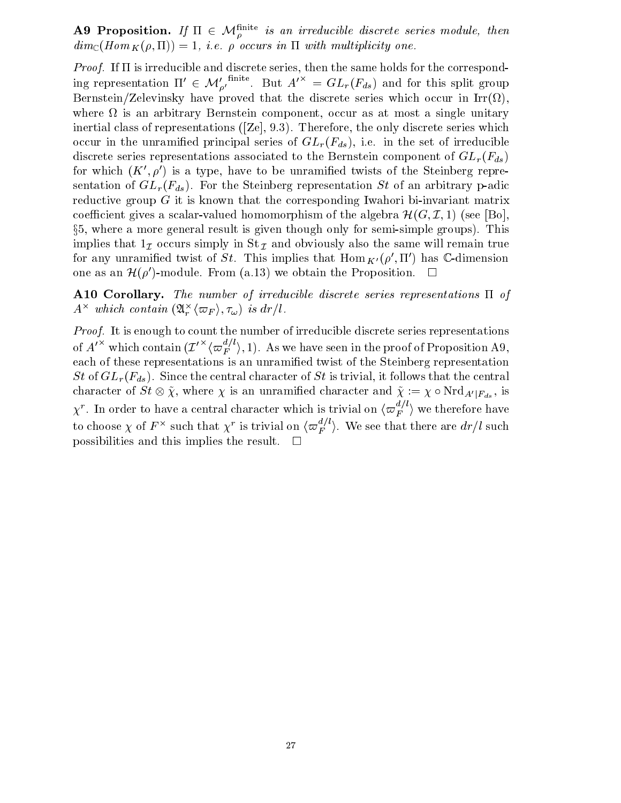**A9 Proposition.** If  $\Pi \in \mathcal{M}_o^{\text{max}}$  is an irreducible discrete series module, then  $dim_{\mathbb{C}}(Hom_K(\rho, \Pi)) = 1$ , i.e.  $\rho$  occurs in  $\Pi$  with multiplicity one.

*Proof.* If  $\Pi$  is irreducible and discrete series, then the same holds for the corresponding representation  $\Pi' \in \mathcal{M}'_{\rho'}$   $\ldots$ . But  $A'^{n} = GL_r(F_{ds})$  and for this split group Bernstein/Zelevinsky have proved that the discrete series which occur in Irr( ), where  $\mathbf{u}$ inertial class of representations ([Ze], 9.3). Therefore, the only discrete series which occur in the unramified principal series of  $GL_r(F_{ds})$ , i.e. in the set of irreducible discrete series representations associated to the Bernstein component of  $GL_r(F_{ds})$ for which  $(K', \rho')$  is a type, have to be unramified twists of the Steinberg representation of  $GL_r(F_{ds})$ . For the Steinberg representation St of an arbitrary p-adic reductive group  $G$  it is known that the corresponding Iwahori bi-invariant matrix coefficient gives a scalar-valued homomorphism of the algebra  $\mathcal{H}(G,\mathcal{I},1)$  (see [Bo], x5, where a more general result is given though only for semi-simple groups). This implies that  $1<sub>\mathcal{I}</sub>$  occurs simply in St  $<sub>\mathcal{I}</sub>$  and obviously also the same will remain true</sub> for any unramined twist of  $SL$  . This implies that Hom  $_{K'}(\rho$  , II ) has C-dimension one as an  $\mathcal{H}(\rho')$ -module. From (a.13) we obtain the Proposition.  $\Box$ 

A10 Corollary. The number of irreducible discrete series representations  $\Pi$  of  $A^{\sim}$  which contain  $(\mathfrak{A}_{r}^{\sim}\langle\varpi_{F}\rangle,\tau_{\omega})$  is  $ar/t$ .

Proof. It is enough to count the number of irreducible discrete series representations of A<sup> $\alpha$ </sup> which contain  $(L''\bra{\varpi_{F}})$ , 1). As we have seen in the proof of Proposition A9, each of these representations is an unramied twist of the Steinberg representation St of  $GL_r(F_{ds})$ . Since the central character of St is trivial, it follows that the central character of  $\mathcal{S}t \otimes \chi$ , where  $\chi$  is an unramined character and  $\chi := \chi \circ \text{Nrd}_{A'|F_{ds}},$  is  $\chi'$  . In order to have a central character which is trivial on  $\langle\varpi_{F}^{\varphi}\,\rangle$  we therefore have to choose  $\chi$  of  $F$   $\hat{}}$  such that  $\chi'$  is trivial on  $\langle \varpi_{F} \rangle$  . We see that there are  $dr/l$  such possibilities and this implies the result.  $\square$